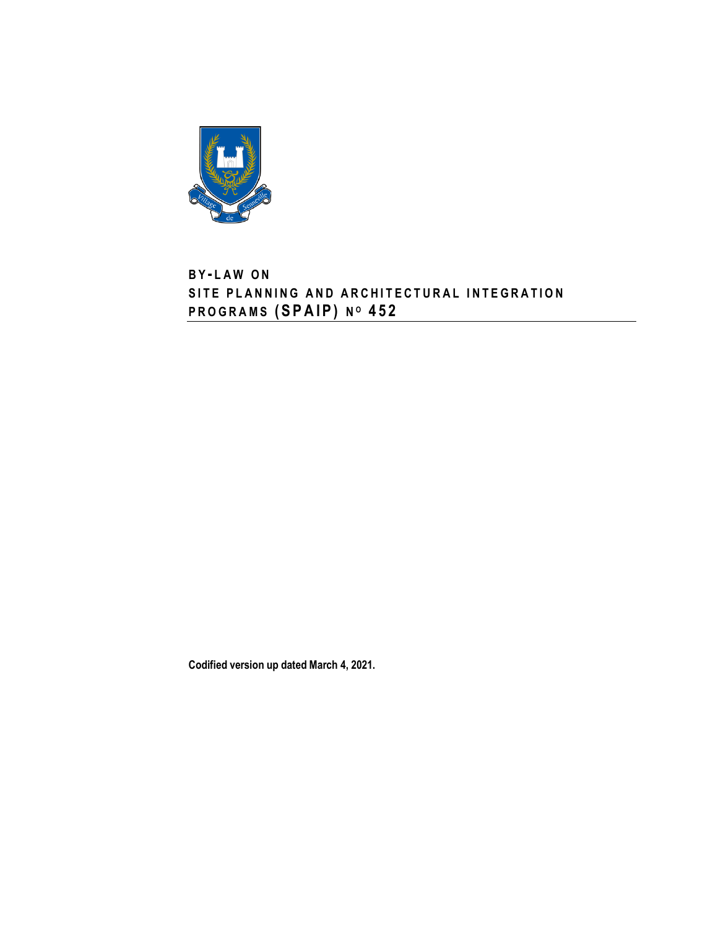

# **B Y - L A W O N** SITE PLANNING AND ARCHITECTURAL INTEGRATION **P R O G R A M S ( S P A I P ) N <sup>O</sup> 4 5 2**

**Codified version up dated March 4, 2021.**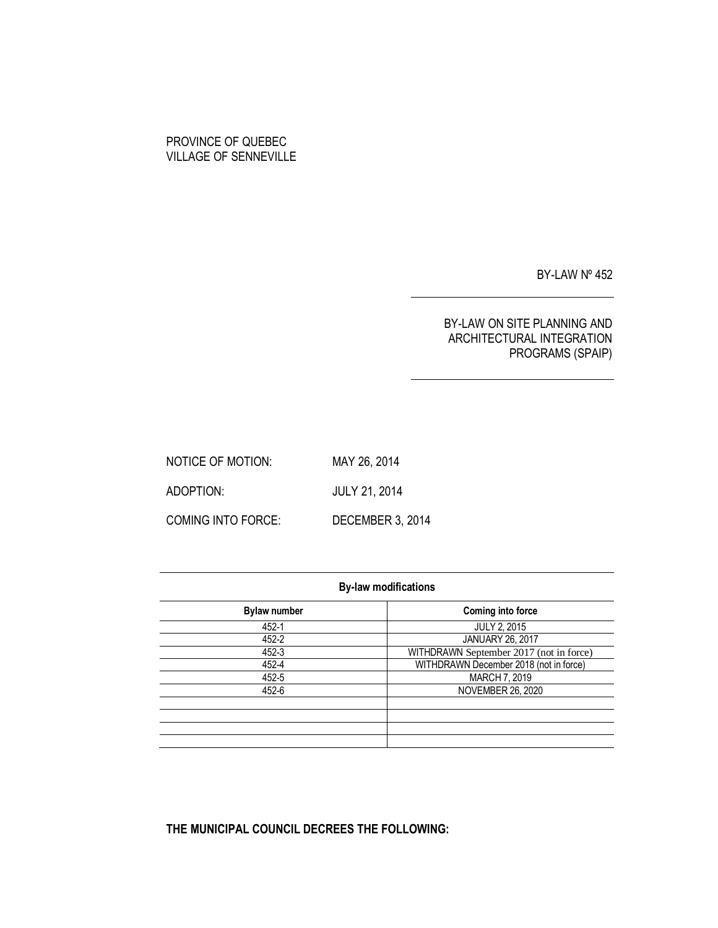## PROVINCE OF QUEBEC VILLAGE OF SENNEVILLE

BY-LAW Nº 452

## BY-LAW ON SITE PLANNING AND ARCHITECTURAL INTEGRATION PROGRAMS (SPAIP)

NOTICE OF MOTION: MAY 26, 2014 ADOPTION: JULY 21, 2014 COMING INTO FORCE: DECEMBER 3, 2014

| <b>By-law modifications</b> |                                         |  |
|-----------------------------|-----------------------------------------|--|
| <b>Bylaw number</b>         | Coming into force                       |  |
| 452-1                       | <b>JULY 2, 2015</b>                     |  |
| 452-2                       | JANUARY 26, 2017                        |  |
| 452-3                       | WITHDRAWN September 2017 (not in force) |  |
| 452-4                       | WITHDRAWN December 2018 (not in force)  |  |
| 452-5                       | MARCH 7, 2019                           |  |
| 452-6                       | <b>NOVEMBER 26, 2020</b>                |  |
|                             |                                         |  |
|                             |                                         |  |
|                             |                                         |  |
|                             |                                         |  |

**THE MUNICIPAL COUNCIL DECREES THE FOLLOWING:**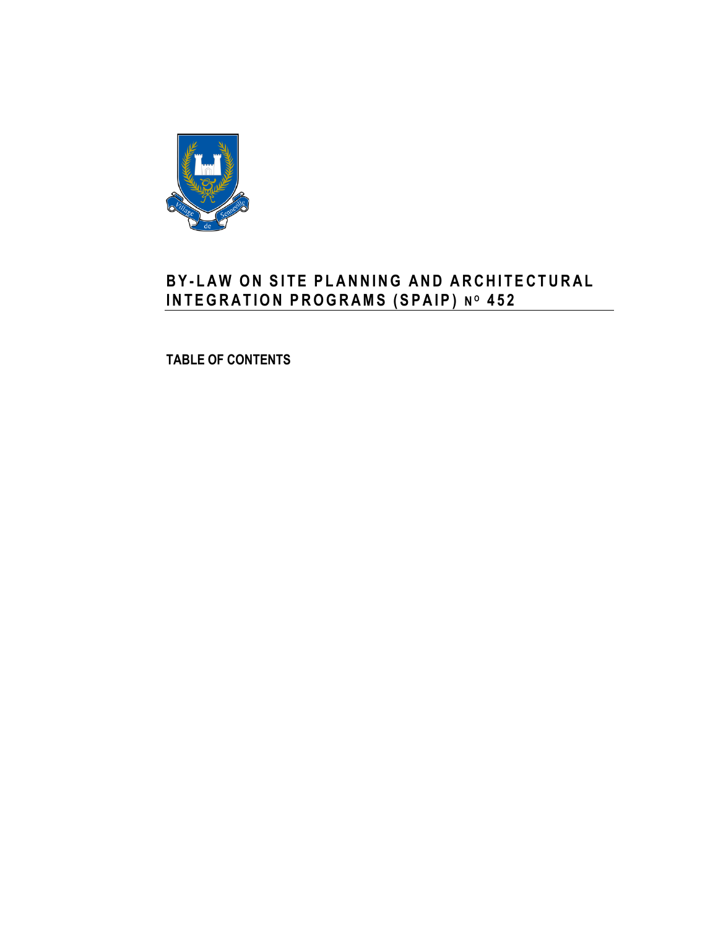

# **B Y - L A W O N S I T E P L A N N I N G A N D A R C H I T E C T U R A L I N T E G R A T I O N P R O G R A MS ( S P A I P ) N <sup>O</sup> 4 5 2**

**TABLE OF CONTENTS**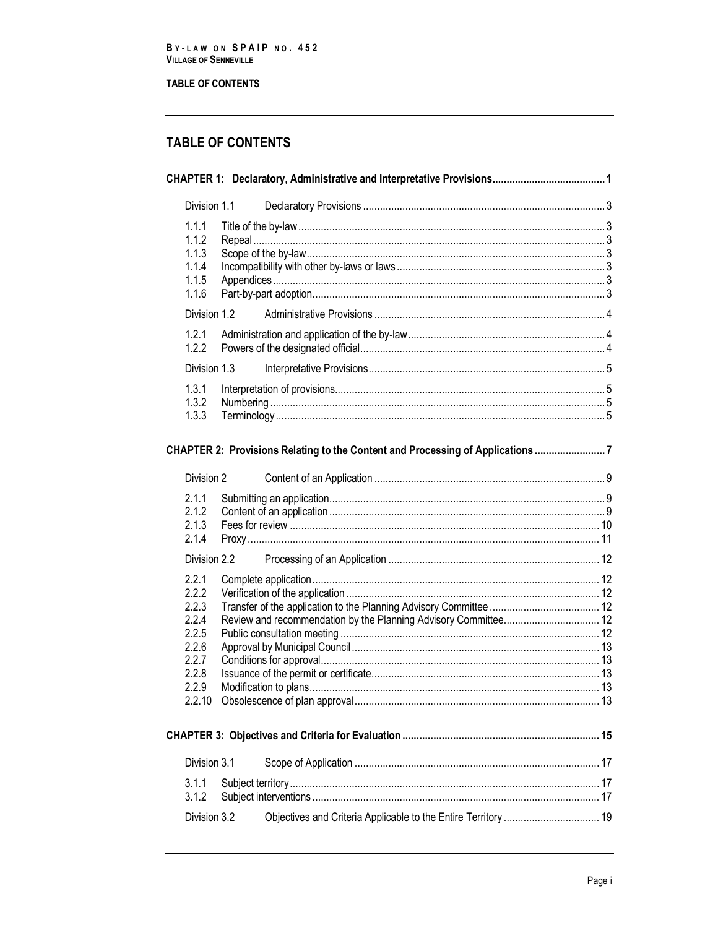## **TABLE OF CONTENTS**

# **TABLE OF CONTENTS**

| Division 1.1                                                                  |                                                                               |  |
|-------------------------------------------------------------------------------|-------------------------------------------------------------------------------|--|
| 1.1.1<br>1.1.2<br>1.1.3<br>1.1.4<br>1.1.5<br>1.1.6                            |                                                                               |  |
| Division 1.2                                                                  |                                                                               |  |
| 1.2.1<br>1.2.2                                                                |                                                                               |  |
| Division 1.3                                                                  |                                                                               |  |
| 1.3.1<br>1.3.2<br>1.3.3                                                       |                                                                               |  |
|                                                                               | CHAPTER 2: Provisions Relating to the Content and Processing of Applications7 |  |
| Division 2                                                                    |                                                                               |  |
| 2.1.1<br>2.1.2<br>2.1.3<br>2.1.4                                              |                                                                               |  |
| Division 2.2                                                                  |                                                                               |  |
| 2.2.1<br>2.2.2<br>2.2.3<br>2.2.4<br>2.2.5<br>2.2.6<br>2.2.7<br>2.2.8<br>2.2.9 |                                                                               |  |
|                                                                               |                                                                               |  |
| Division 3.1                                                                  |                                                                               |  |
| 3.1.1<br>3.1.2                                                                |                                                                               |  |
| Division 3.2                                                                  |                                                                               |  |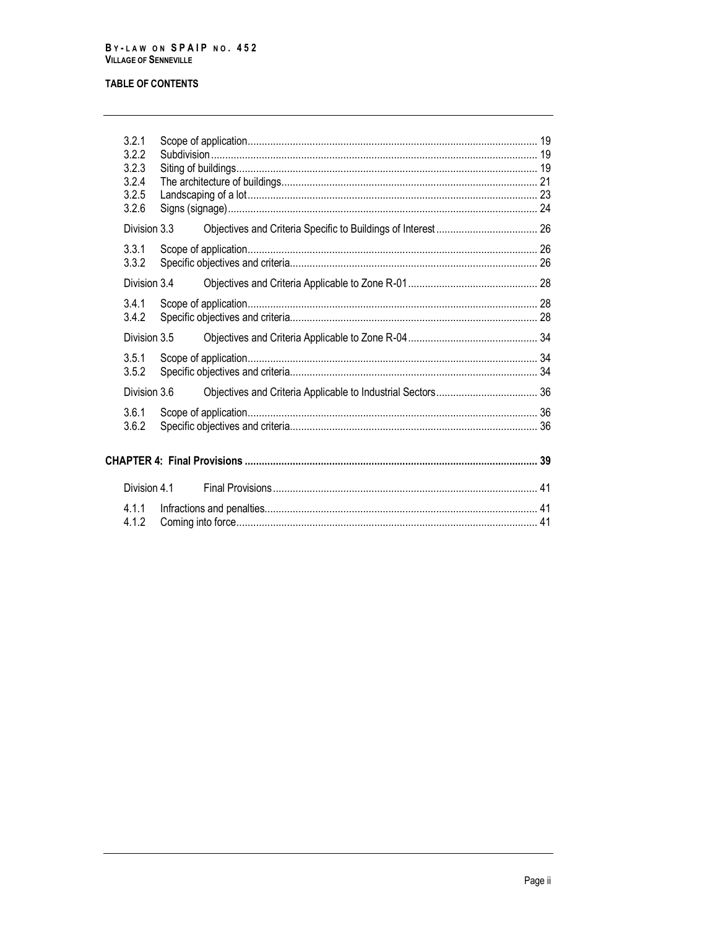## **TABLE OF CONTENTS**

| 3.2.1<br>3.2.2<br>3.2.3<br>3.2.4<br>3.2.5<br>3.2.6 |  |  |
|----------------------------------------------------|--|--|
| Division 3.3                                       |  |  |
| 3.3.1<br>3.3.2                                     |  |  |
| Division 3.4                                       |  |  |
| 3.4.1<br>3.4.2                                     |  |  |
| Division 3.5                                       |  |  |
| 3.5.1<br>3.5.2                                     |  |  |
| Division 3.6                                       |  |  |
| 3.6.1<br>3.6.2                                     |  |  |
|                                                    |  |  |
| Division 4.1                                       |  |  |
| 4.1.1<br>4.1.2                                     |  |  |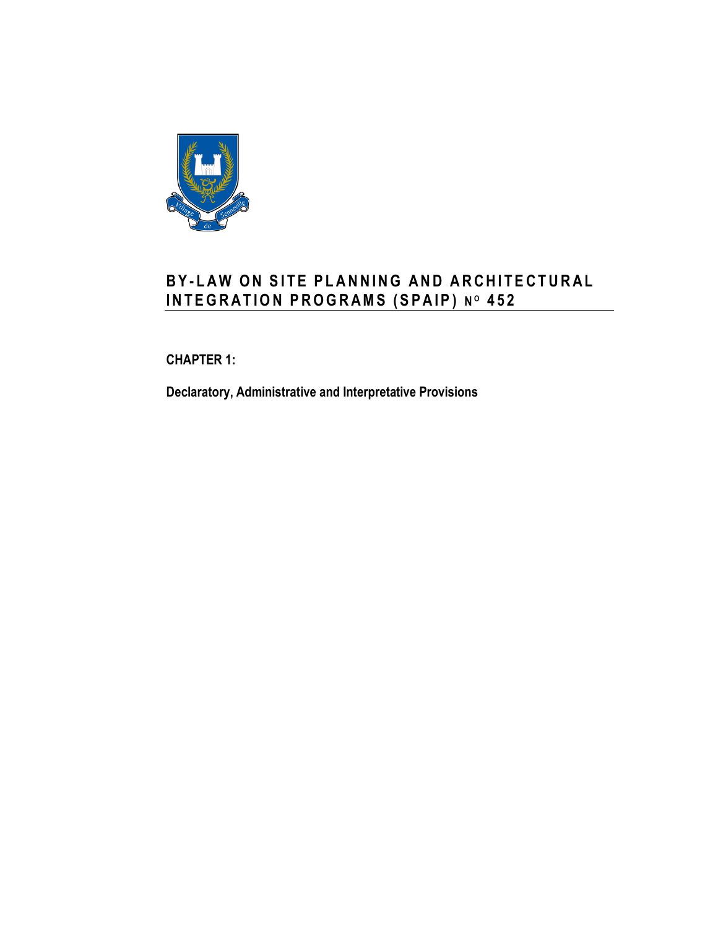

# **B Y - L A W O N S I T E P L A N N I N G A N D A R C H I T E C T U R A L I N T E G R A T I O N P R O G R A MS ( S P A I P ) N <sup>O</sup> 4 5 2**

<span id="page-8-0"></span>**CHAPTER 1:**

**Declaratory, Administrative and Interpretative Provisions**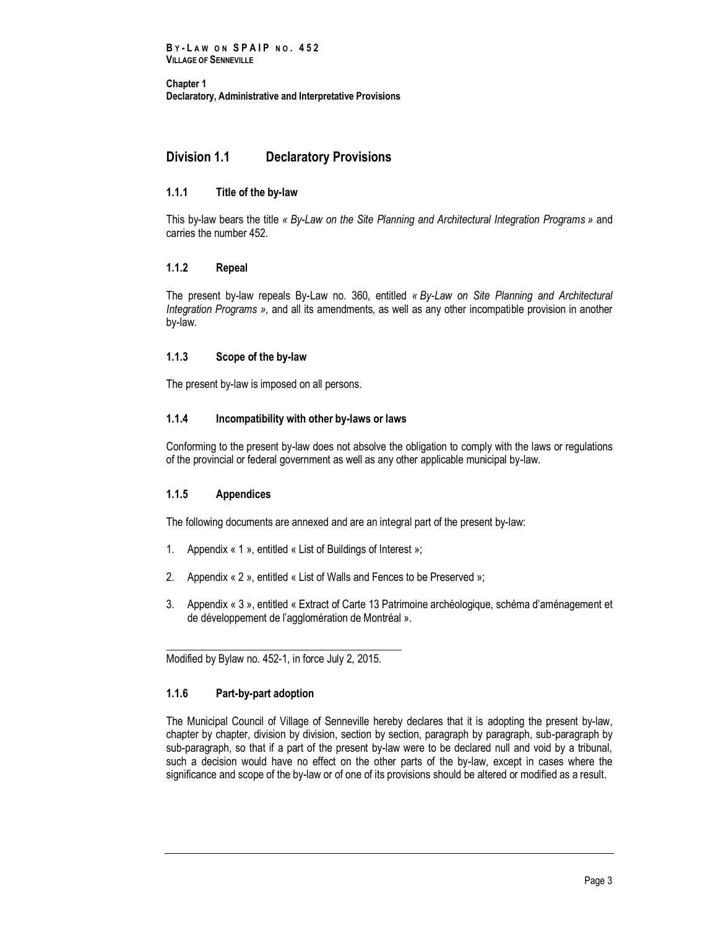## <span id="page-10-0"></span>**Division 1.1 Declaratory Provisions**

## <span id="page-10-1"></span>**1.1.1 Title of the by-law**

This by-law bears the title *« By-Law on the Site Planning and Architectural Integration Programs »* and carries the number 452.

## <span id="page-10-2"></span>**1.1.2 Repeal**

The present by-law repeals By-Law no. 360, entitled *« By-Law on Site Planning and Architectural Integration Programs »,* and all its amendments, as well as any other incompatible provision in another by-law.

## <span id="page-10-3"></span>**1.1.3 Scope of the by-law**

<span id="page-10-4"></span>The present by-law is imposed on all persons.

## **1.1.4 Incompatibility with other by-laws or laws**

Conforming to the present by-law does not absolve the obligation to comply with the laws or regulations of the provincial or federal government as well as any other applicable municipal by-law.

## <span id="page-10-5"></span>**1.1.5 Appendices**

The following documents are annexed and are an integral part of the present by-law:

- 1. Appendix « 1 », entitled « List of Buildings of Interest »;
- 2. Appendix « 2 », entitled « List of Walls and Fences to be Preserved »;
- 3. Appendix « 3 », entitled « Extract of Carte 13 Patrimoine archéologique, schéma d'aménagement et de développement de l'agglomération de Montréal ».

\_\_\_\_\_\_\_\_\_\_\_\_\_\_\_\_\_\_\_\_\_\_\_\_\_\_\_\_\_\_\_\_\_\_\_\_\_\_\_\_\_\_\_\_ Modified by Bylaw no. 452-1, in force July 2, 2015.

## <span id="page-10-6"></span>**1.1.6 Part-by-part adoption**

The Municipal Council of Village of Senneville hereby declares that it is adopting the present by-law, chapter by chapter, division by division, section by section, paragraph by paragraph, sub-paragraph by sub-paragraph, so that if a part of the present by-law were to be declared null and void by a tribunal, such a decision would have no effect on the other parts of the by-law, except in cases where the significance and scope of the by-law or of one of its provisions should be altered or modified as a result.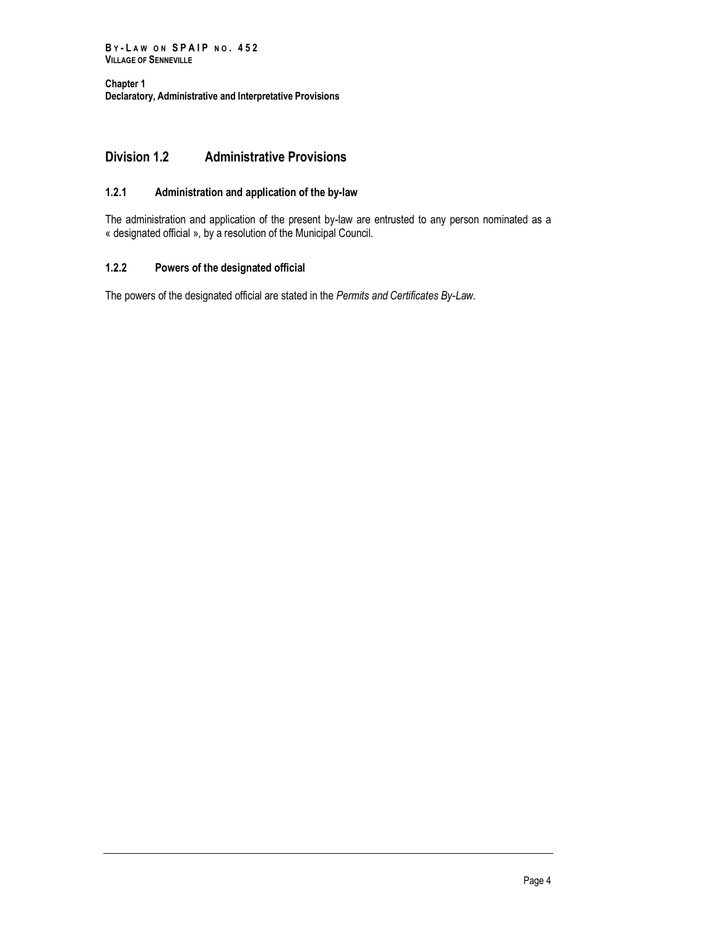## <span id="page-11-0"></span>**Division 1.2 Administrative Provisions**

## <span id="page-11-1"></span>**1.2.1 Administration and application of the by-law**

The administration and application of the present by-law are entrusted to any person nominated as a « designated official », by a resolution of the Municipal Council.

## <span id="page-11-2"></span>**1.2.2 Powers of the designated official**

The powers of the designated official are stated in the *Permits and Certificates By-Law.*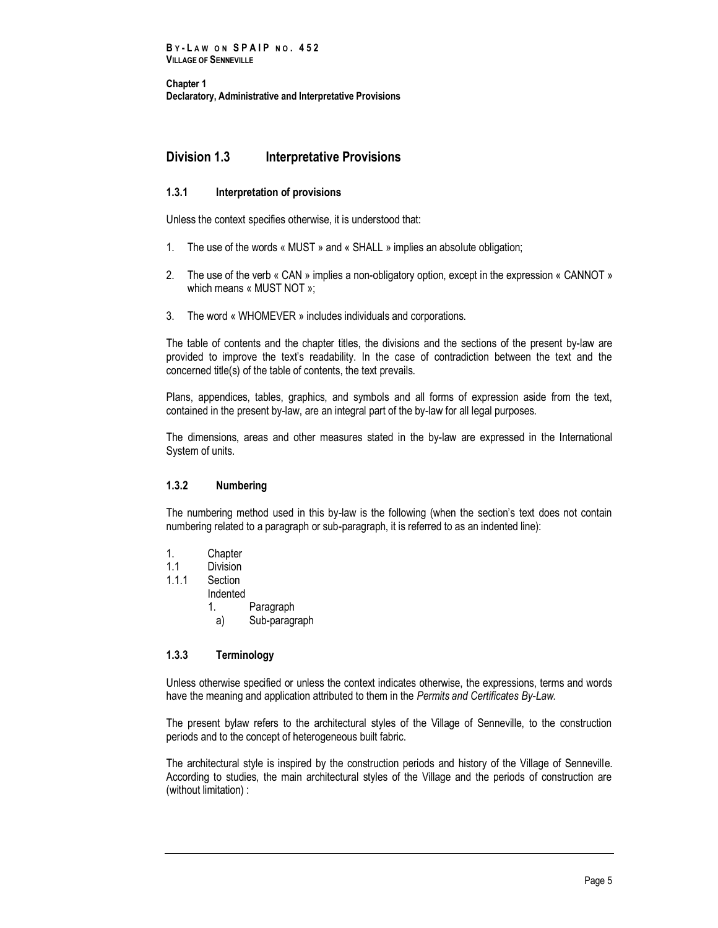## <span id="page-12-0"></span>**Division 1.3 Interpretative Provisions**

## <span id="page-12-1"></span>**1.3.1 Interpretation of provisions**

Unless the context specifies otherwise, it is understood that:

- 1. The use of the words « MUST » and « SHALL » implies an absolute obligation;
- 2. The use of the verb « CAN » implies a non-obligatory option, except in the expression « CANNOT » which means « MUST NOT »;
- 3. The word « WHOMEVER » includes individuals and corporations.

The table of contents and the chapter titles, the divisions and the sections of the present by-law are provided to improve the text's readability. In the case of contradiction between the text and the concerned title(s) of the table of contents, the text prevails.

Plans, appendices, tables, graphics, and symbols and all forms of expression aside from the text, contained in the present by-law, are an integral part of the by-law for all legal purposes.

The dimensions, areas and other measures stated in the by-law are expressed in the International System of units.

## <span id="page-12-2"></span>**1.3.2 Numbering**

The numbering method used in this by-law is the following (when the section's text does not contain numbering related to a paragraph or sub-paragraph, it is referred to as an indented line):

- 1. Chapter
- 1.1 Division<br>1.1.1 Section
	- Section
	- Indented
		- 1. Paragraph
		- a) Sub-paragraph

## <span id="page-12-3"></span>**1.3.3 Terminology**

Unless otherwise specified or unless the context indicates otherwise, the expressions, terms and words have the meaning and application attributed to them in the *Permits and Certificates By-Law.*

The present bylaw refers to the architectural styles of the Village of Senneville, to the construction periods and to the concept of heterogeneous built fabric.

The architectural style is inspired by the construction periods and history of the Village of Senneville. According to studies, the main architectural styles of the Village and the periods of construction are (without limitation) :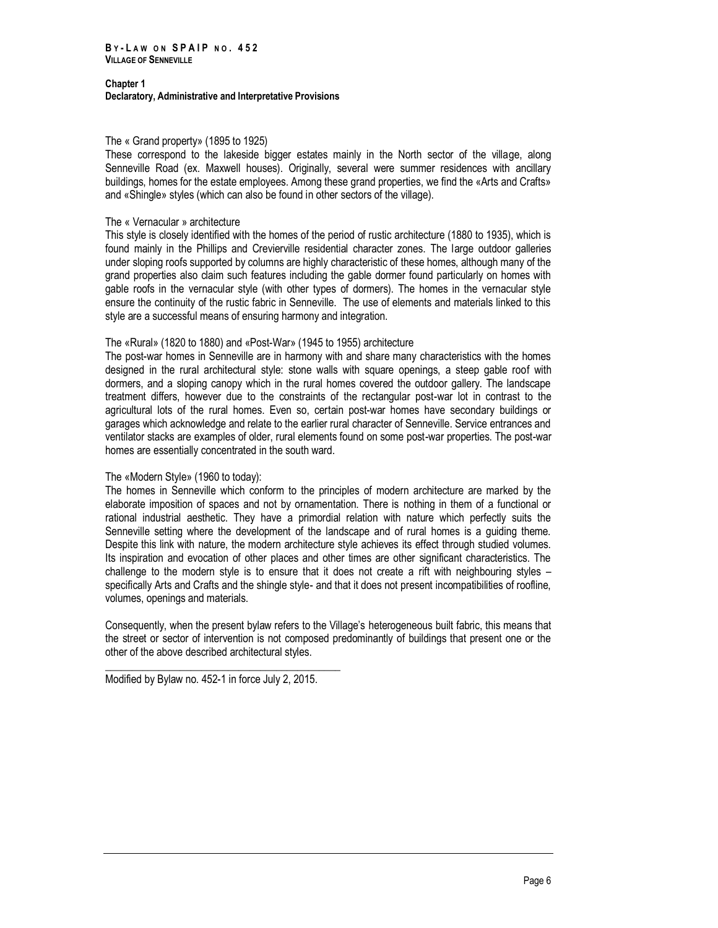#### The « Grand property» (1895 to 1925)

These correspond to the lakeside bigger estates mainly in the North sector of the village, along Senneville Road (ex. Maxwell houses). Originally, several were summer residences with ancillary buildings, homes for the estate employees. Among these grand properties, we find the «Arts and Crafts» and «Shingle» styles (which can also be found in other sectors of the village).

#### The « Vernacular » architecture

This style is closely identified with the homes of the period of rustic architecture (1880 to 1935), which is found mainly in the Phillips and Crevierville residential character zones. The large outdoor galleries under sloping roofs supported by columns are highly characteristic of these homes, although many of the grand properties also claim such features including the gable dormer found particularly on homes with gable roofs in the vernacular style (with other types of dormers). The homes in the vernacular style ensure the continuity of the rustic fabric in Senneville. The use of elements and materials linked to this style are a successful means of ensuring harmony and integration.

## The «Rural» (1820 to 1880) and «Post-War» (1945 to 1955) architecture

The post-war homes in Senneville are in harmony with and share many characteristics with the homes designed in the rural architectural style: stone walls with square openings, a steep gable roof with dormers, and a sloping canopy which in the rural homes covered the outdoor gallery. The landscape treatment differs, however due to the constraints of the rectangular post-war lot in contrast to the agricultural lots of the rural homes. Even so, certain post-war homes have secondary buildings or garages which acknowledge and relate to the earlier rural character of Senneville. Service entrances and ventilator stacks are examples of older, rural elements found on some post-war properties. The post-war homes are essentially concentrated in the south ward.

## The «Modern Style» (1960 to today):

The homes in Senneville which conform to the principles of modern architecture are marked by the elaborate imposition of spaces and not by ornamentation. There is nothing in them of a functional or rational industrial aesthetic. They have a primordial relation with nature which perfectly suits the Senneville setting where the development of the landscape and of rural homes is a guiding theme. Despite this link with nature, the modern architecture style achieves its effect through studied volumes. Its inspiration and evocation of other places and other times are other significant characteristics. The challenge to the modern style is to ensure that it does not create a rift with neighbouring styles – specifically Arts and Crafts and the shingle style- and that it does not present incompatibilities of roofline, volumes, openings and materials.

Consequently, when the present bylaw refers to the Village's heterogeneous built fabric, this means that the street or sector of intervention is not composed predominantly of buildings that present one or the other of the above described architectural styles.

Modified by Bylaw no. 452-1 in force July 2, 2015.

\_\_\_\_\_\_\_\_\_\_\_\_\_\_\_\_\_\_\_\_\_\_\_\_\_\_\_\_\_\_\_\_\_\_\_\_\_\_\_\_\_\_\_\_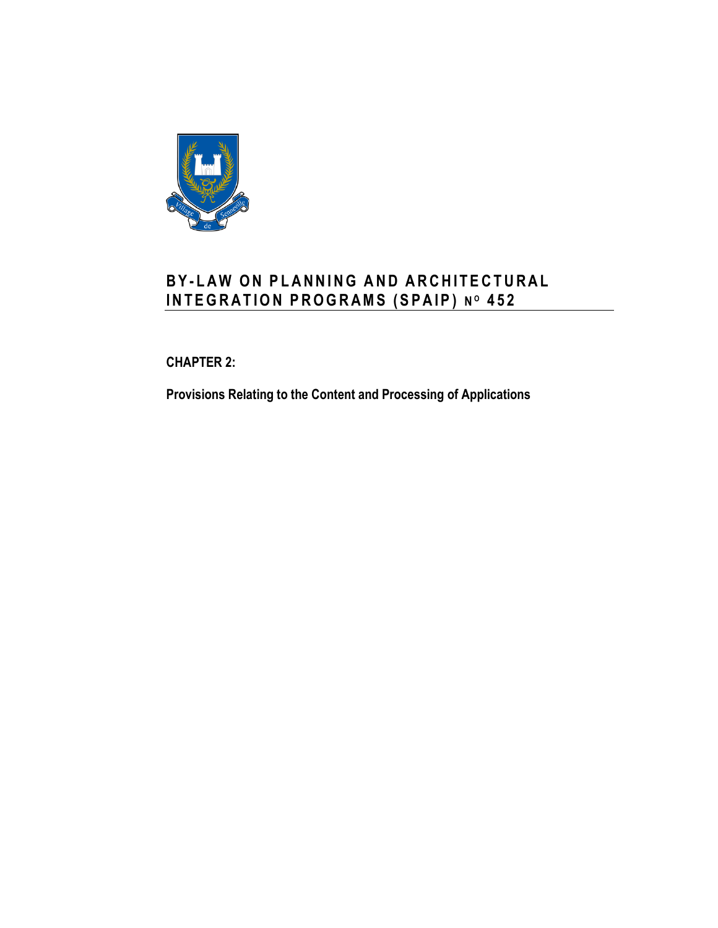

# **B Y - L A W O N P L A N N I N G AND A R C H I T E C T U R A L I N T E G R A T I O N P R O G R A MS ( S P A I P ) N <sup>O</sup> 4 5 2**

<span id="page-14-0"></span>**CHAPTER 2:**

<span id="page-14-1"></span>**Provisions Relating to the Content and Processing of Applications**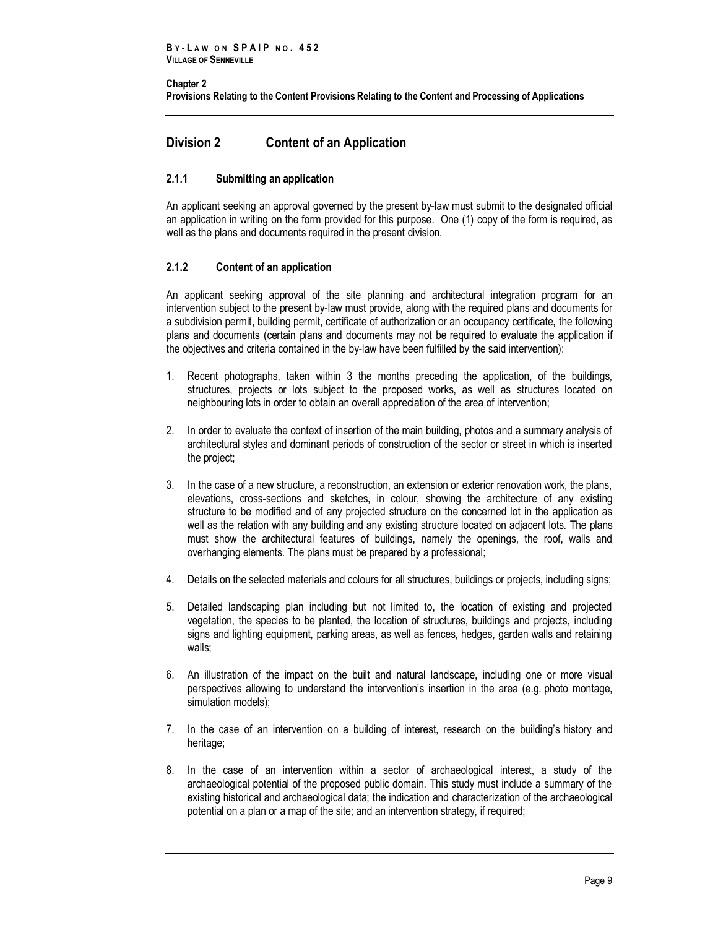#### **Chapter 2 [Provisions Relating to the Content P](#page-14-1)rovisions Relating to the Content and Processing of Applications**

## <span id="page-16-0"></span>**Division 2 Content of an Application**

## <span id="page-16-1"></span>**2.1.1 Submitting an application**

An applicant seeking an approval governed by the present by-law must submit to the designated official an application in writing on the form provided for this purpose. One (1) copy of the form is required, as well as the plans and documents required in the present division.

## <span id="page-16-2"></span>**2.1.2 Content of an application**

An applicant seeking approval of the site planning and architectural integration program for an intervention subject to the present by-law must provide, along with the required plans and documents for a subdivision permit, building permit, certificate of authorization or an occupancy certificate, the following plans and documents (certain plans and documents may not be required to evaluate the application if the objectives and criteria contained in the by-law have been fulfilled by the said intervention):

- 1. Recent photographs, taken within 3 the months preceding the application, of the buildings, structures, projects or lots subject to the proposed works, as well as structures located on neighbouring lots in order to obtain an overall appreciation of the area of intervention;
- 2. In order to evaluate the context of insertion of the main building, photos and a summary analysis of architectural styles and dominant periods of construction of the sector or street in which is inserted the project;
- 3. In the case of a new structure, a reconstruction, an extension or exterior renovation work, the plans, elevations, cross-sections and sketches, in colour, showing the architecture of any existing structure to be modified and of any projected structure on the concerned lot in the application as well as the relation with any building and any existing structure located on adjacent lots. The plans must show the architectural features of buildings, namely the openings, the roof, walls and overhanging elements. The plans must be prepared by a professional;
- 4. Details on the selected materials and colours for all structures, buildings or projects, including signs;
- 5. Detailed landscaping plan including but not limited to, the location of existing and projected vegetation, the species to be planted, the location of structures, buildings and projects, including signs and lighting equipment, parking areas, as well as fences, hedges, garden walls and retaining walls;
- 6. An illustration of the impact on the built and natural landscape, including one or more visual perspectives allowing to understand the intervention's insertion in the area (e.g. photo montage, simulation models);
- 7. In the case of an intervention on a building of interest, research on the building's history and heritage:
- 8. In the case of an intervention within a sector of archaeological interest, a study of the archaeological potential of the proposed public domain. This study must include a summary of the existing historical and archaeological data; the indication and characterization of the archaeological potential on a plan or a map of the site; and an intervention strategy, if required;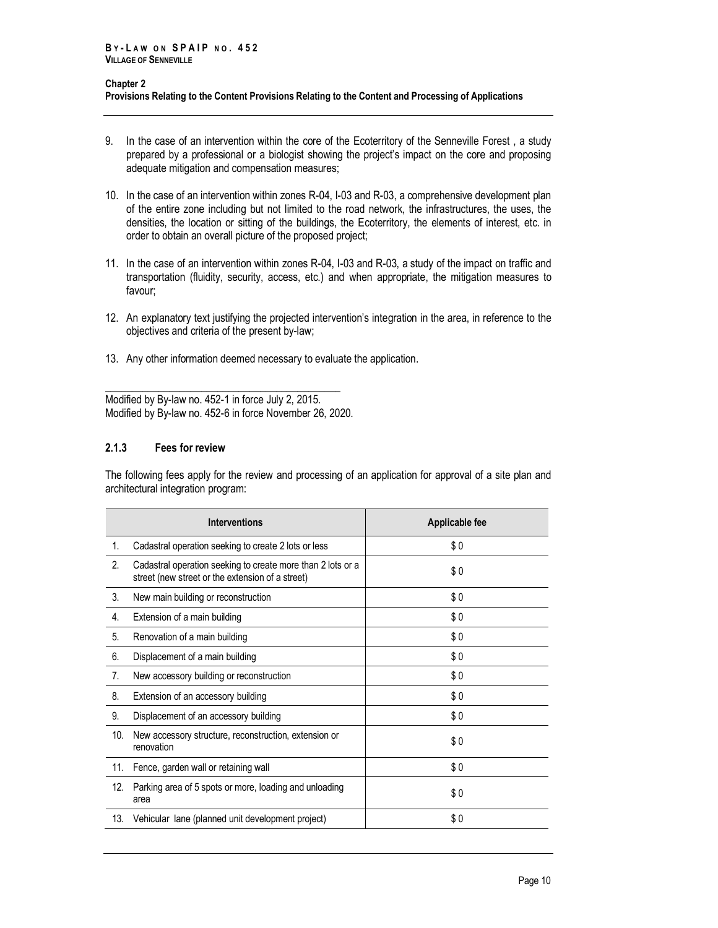#### **Chapter 2 [Provisions Relating to the Content P](#page-14-1)rovisions Relating to the Content and Processing of Applications**

- 9. In the case of an intervention within the core of the Ecoterritory of the Senneville Forest , a study prepared by a professional or a biologist showing the project's impact on the core and proposing adequate mitigation and compensation measures;
- 10. In the case of an intervention within zones R-04, I-03 and R-03, a comprehensive development plan of the entire zone including but not limited to the road network, the infrastructures, the uses, the densities, the location or sitting of the buildings, the Ecoterritory, the elements of interest, etc. in order to obtain an overall picture of the proposed project;
- 11. In the case of an intervention within zones R-04, I-03 and R-03, a study of the impact on traffic and transportation (fluidity, security, access, etc.) and when appropriate, the mitigation measures to favour;
- 12. An explanatory text justifying the projected intervention's integration in the area, in reference to the objectives and criteria of the present by-law;
- 13. Any other information deemed necessary to evaluate the application.

\_\_\_\_\_\_\_\_\_\_\_\_\_\_\_\_\_\_\_\_\_\_\_\_\_\_\_\_\_\_\_\_\_\_\_\_\_\_\_\_\_\_\_\_ Modified by By-law no. 452-1 in force July 2, 2015. Modified by By-law no. 452-6 in force November 26, 2020.

## <span id="page-17-0"></span>**2.1.3 Fees for review**

The following fees apply for the review and processing of an application for approval of a site plan and architectural integration program:

|     | <b>Interventions</b>                                                                                            | Applicable fee |
|-----|-----------------------------------------------------------------------------------------------------------------|----------------|
| 1.  | Cadastral operation seeking to create 2 lots or less                                                            | \$0            |
| 2.  | Cadastral operation seeking to create more than 2 lots or a<br>street (new street or the extension of a street) | \$0            |
| 3.  | New main building or reconstruction                                                                             | \$0            |
| 4.  | Extension of a main building                                                                                    | \$0            |
| 5.  | Renovation of a main building                                                                                   | \$0            |
| 6.  | Displacement of a main building                                                                                 | \$0            |
| 7.  | New accessory building or reconstruction                                                                        | \$0            |
| 8.  | Extension of an accessory building                                                                              | \$0            |
| 9.  | Displacement of an accessory building                                                                           | \$0            |
| 10. | New accessory structure, reconstruction, extension or<br>renovation                                             | \$0            |
| 11. | Fence, garden wall or retaining wall                                                                            | \$0            |
| 12. | Parking area of 5 spots or more, loading and unloading<br>area                                                  | \$0            |
| 13. | Vehicular lane (planned unit development project)                                                               | \$0            |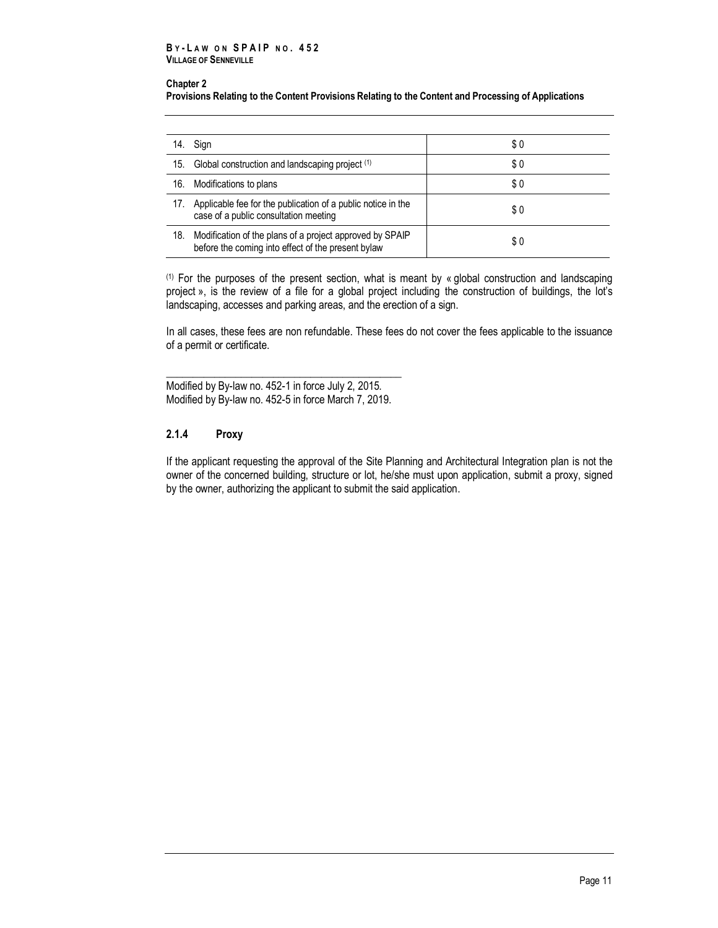#### **B Y - L A W O N S P A I P N O . 4 5 2 VILLAGE OF SENNEVILLE**

#### **Chapter 2**

**[Provisions Relating to the Content P](#page-14-1)rovisions Relating to the Content and Processing of Applications**

| 14. | Sign                                                                                                           | \$0 |
|-----|----------------------------------------------------------------------------------------------------------------|-----|
| 15. | Global construction and landscaping project (1)                                                                | \$0 |
| 16. | Modifications to plans                                                                                         | \$0 |
| 17. | Applicable fee for the publication of a public notice in the<br>case of a public consultation meeting          | \$0 |
| 18. | Modification of the plans of a project approved by SPAIP<br>before the coming into effect of the present bylaw | \$0 |

(1) For the purposes of the present section, what is meant by « global construction and landscaping project », is the review of a file for a global project including the construction of buildings, the lot's landscaping, accesses and parking areas, and the erection of a sign.

In all cases, these fees are non refundable. These fees do not cover the fees applicable to the issuance of a permit or certificate.

\_\_\_\_\_\_\_\_\_\_\_\_\_\_\_\_\_\_\_\_\_\_\_\_\_\_\_\_\_\_\_\_\_\_\_\_\_\_\_\_\_\_\_\_ Modified by By-law no. 452-1 in force July 2, 2015. Modified by By-law no. 452-5 in force March 7, 2019.

## <span id="page-18-0"></span>**2.1.4 Proxy**

If the applicant requesting the approval of the Site Planning and Architectural Integration plan is not the owner of the concerned building, structure or lot, he/she must upon application, submit a proxy, signed by the owner, authorizing the applicant to submit the said application.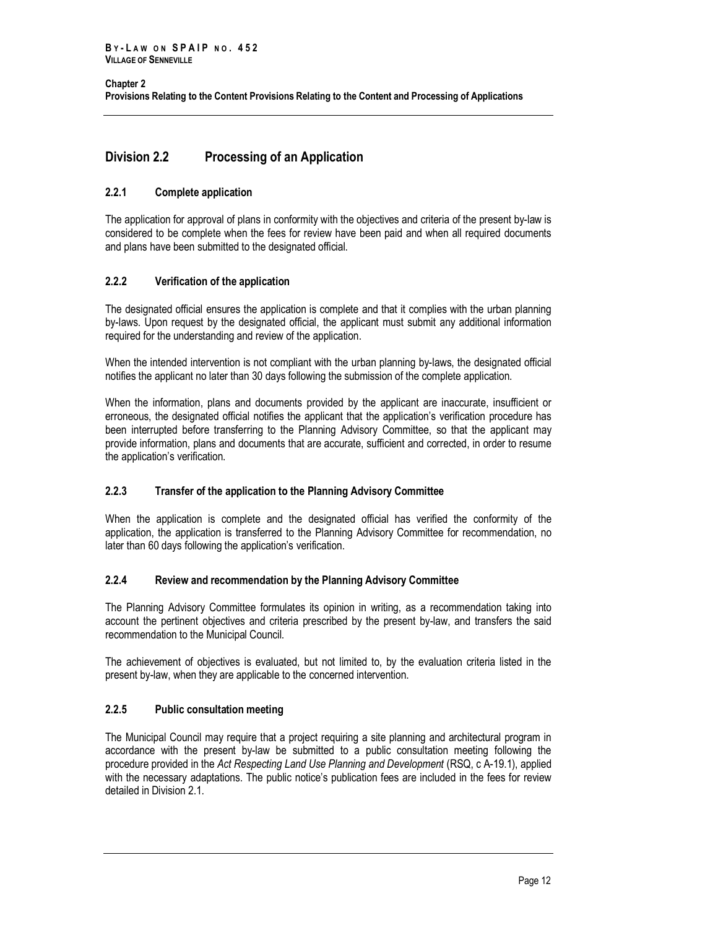## <span id="page-19-0"></span>**Division 2.2 Processing of an Application**

## <span id="page-19-1"></span>**2.2.1 Complete application**

The application for approval of plans in conformity with the objectives and criteria of the present by-law is considered to be complete when the fees for review have been paid and when all required documents and plans have been submitted to the designated official.

## <span id="page-19-2"></span>**2.2.2 Verification of the application**

The designated official ensures the application is complete and that it complies with the urban planning by-laws. Upon request by the designated official, the applicant must submit any additional information required for the understanding and review of the application.

When the intended intervention is not compliant with the urban planning by-laws, the designated official notifies the applicant no later than 30 days following the submission of the complete application.

When the information, plans and documents provided by the applicant are inaccurate, insufficient or erroneous, the designated official notifies the applicant that the application's verification procedure has been interrupted before transferring to the Planning Advisory Committee, so that the applicant may provide information, plans and documents that are accurate, sufficient and corrected, in order to resume the application's verification.

## <span id="page-19-3"></span>**2.2.3 Transfer of the application to the Planning Advisory Committee**

When the application is complete and the designated official has verified the conformity of the application, the application is transferred to the Planning Advisory Committee for recommendation, no later than 60 days following the application's verification.

## <span id="page-19-4"></span>**2.2.4 Review and recommendation by the Planning Advisory Committee**

The Planning Advisory Committee formulates its opinion in writing, as a recommendation taking into account the pertinent objectives and criteria prescribed by the present by-law, and transfers the said recommendation to the Municipal Council.

The achievement of objectives is evaluated, but not limited to, by the evaluation criteria listed in the present by-law, when they are applicable to the concerned intervention.

## <span id="page-19-5"></span>**2.2.5 Public consultation meeting**

The Municipal Council may require that a project requiring a site planning and architectural program in accordance with the present by-law be submitted to a public consultation meeting following the procedure provided in the *Act Respecting Land Use Planning and Development* (RSQ, c A-19.1), applied with the necessary adaptations. The public notice's publication fees are included in the fees for review detailed in Division 2.1.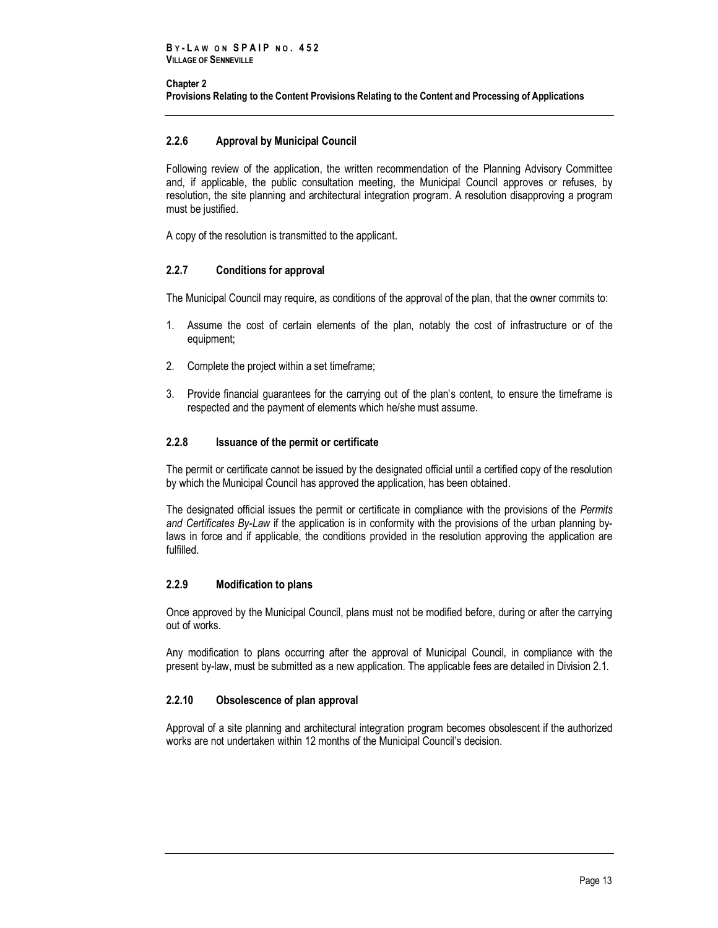#### **Chapter 2 [Provisions Relating to the Content P](#page-14-1)rovisions Relating to the Content and Processing of Applications**

## <span id="page-20-0"></span>**2.2.6 Approval by Municipal Council**

Following review of the application, the written recommendation of the Planning Advisory Committee and, if applicable, the public consultation meeting, the Municipal Council approves or refuses, by resolution, the site planning and architectural integration program. A resolution disapproving a program must be justified.

<span id="page-20-1"></span>A copy of the resolution is transmitted to the applicant.

## **2.2.7 Conditions for approval**

The Municipal Council may require, as conditions of the approval of the plan, that the owner commits to:

- 1. Assume the cost of certain elements of the plan, notably the cost of infrastructure or of the equipment;
- 2. Complete the project within a set timeframe;
- 3. Provide financial guarantees for the carrying out of the plan's content, to ensure the timeframe is respected and the payment of elements which he/she must assume.

## <span id="page-20-2"></span>**2.2.8 Issuance of the permit or certificate**

The permit or certificate cannot be issued by the designated official until a certified copy of the resolution by which the Municipal Council has approved the application, has been obtained.

The designated official issues the permit or certificate in compliance with the provisions of the *Permits and Certificates By-Law* if the application is in conformity with the provisions of the urban planning bylaws in force and if applicable, the conditions provided in the resolution approving the application are fulfilled.

## <span id="page-20-3"></span>**2.2.9 Modification to plans**

Once approved by the Municipal Council, plans must not be modified before, during or after the carrying out of works.

Any modification to plans occurring after the approval of Municipal Council, in compliance with the present by-law, must be submitted as a new application. The applicable fees are detailed in Division 2.1.

## <span id="page-20-4"></span>**2.2.10 Obsolescence of plan approval**

Approval of a site planning and architectural integration program becomes obsolescent if the authorized works are not undertaken within 12 months of the Municipal Council's decision.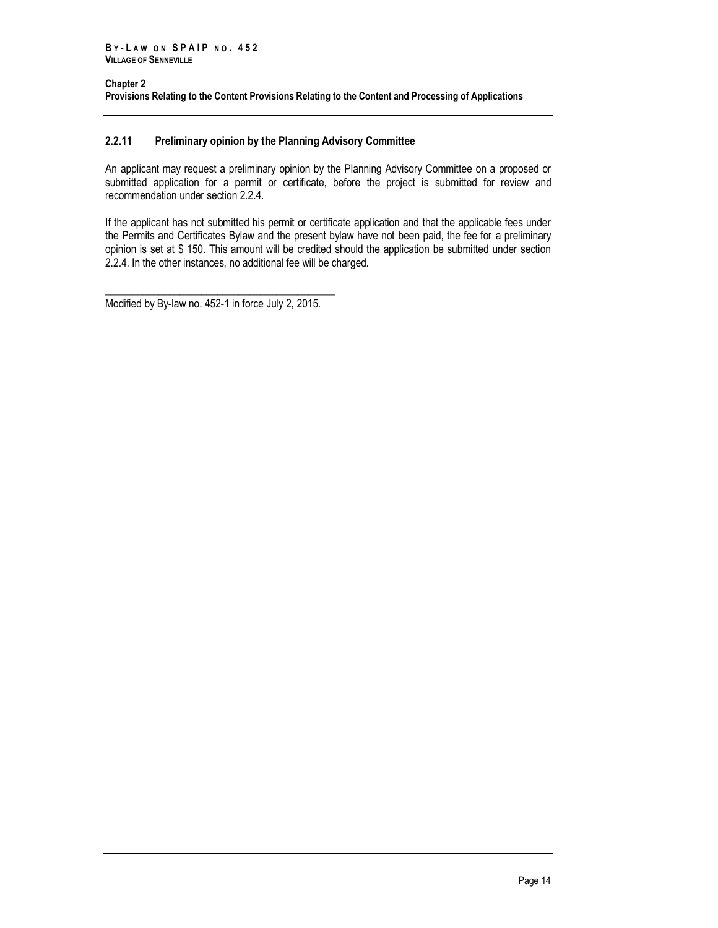## **2.2.11 Preliminary opinion by the Planning Advisory Committee**

An applicant may request a preliminary opinion by the Planning Advisory Committee on a proposed or submitted application for a permit or certificate, before the project is submitted for review and recommendation under section 2.2.4.

If the applicant has not submitted his permit or certificate application and that the applicable fees under the Permits and Certificates Bylaw and the present bylaw have not been paid, the fee for a preliminary opinion is set at \$ 150. This amount will be credited should the application be submitted under section 2.2.4. In the other instances, no additional fee will be charged.

\_\_\_\_\_\_\_\_\_\_\_\_\_\_\_\_\_\_\_\_\_\_\_\_\_\_\_\_\_\_\_\_\_\_\_\_\_\_\_\_\_\_\_ Modified by By-law no. 452-1 in force July 2, 2015.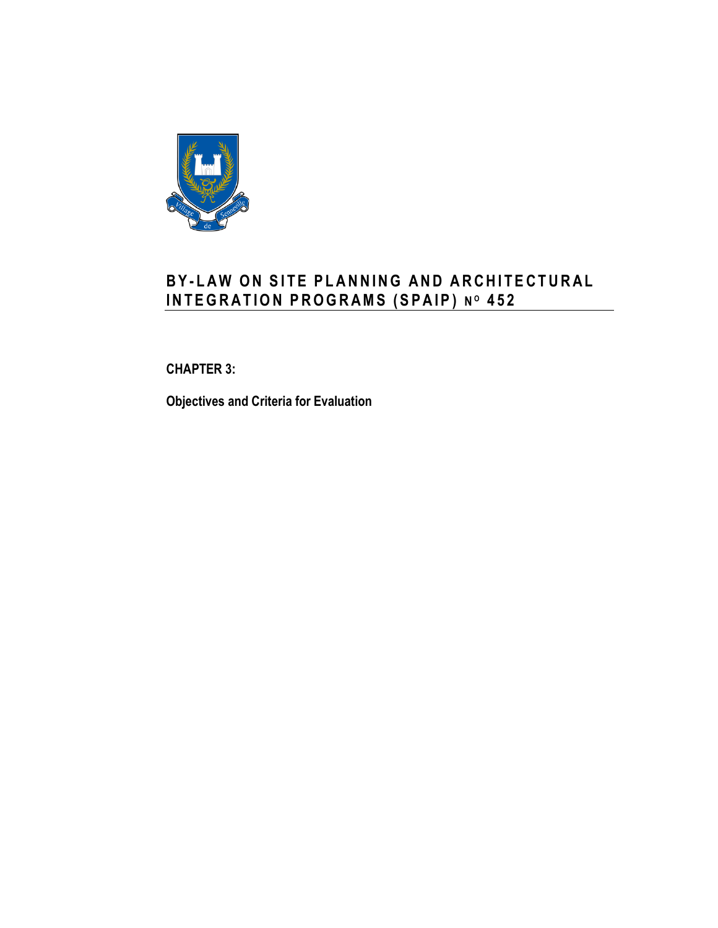

# **B Y - L A W O N S I T E P L A N N I N G A N D A R C H I T E C T U R A L I N T E G R A T I O N P R O G R A MS ( S P A I P ) N <sup>O</sup> 4 5 2**

# <span id="page-22-0"></span>**CHAPTER 3:**

**Objectives and Criteria for Evaluation**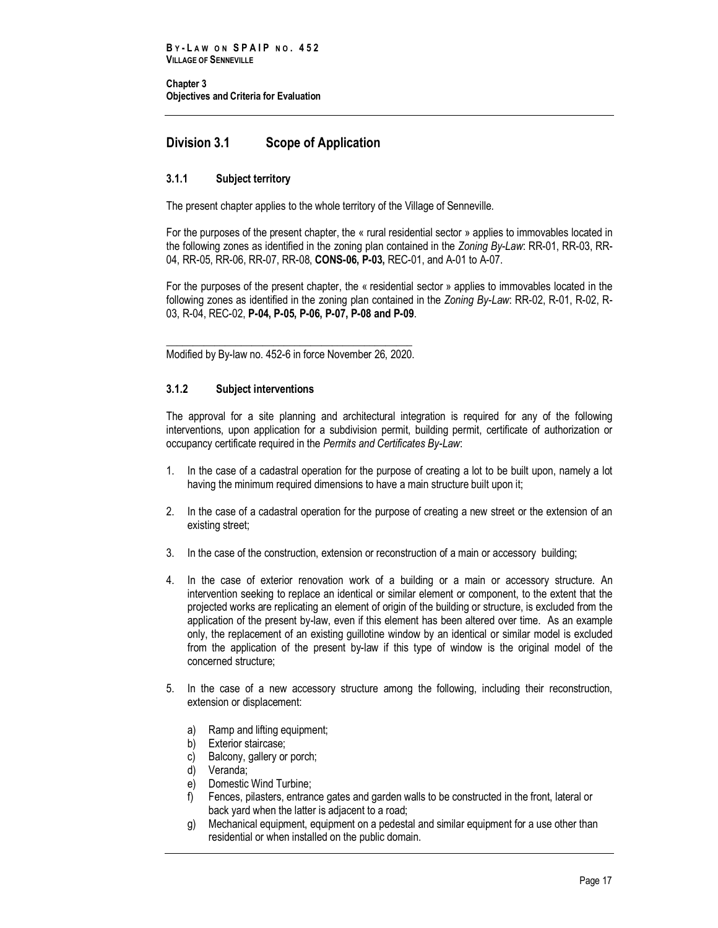## <span id="page-24-0"></span>**Division 3.1 Scope of Application**

## <span id="page-24-1"></span>**3.1.1 Subject territory**

The present chapter applies to the whole territory of the Village of Senneville.

For the purposes of the present chapter, the « rural residential sector » applies to immovables located in the following zones as identified in the zoning plan contained in the *Zoning By-Law*: RR-01, RR-03, RR-04, RR-05, RR-06, RR-07, RR-08, **CONS-06, P-03,** REC-01, and A-01 to A-07.

For the purposes of the present chapter, the « residential sector » applies to immovables located in the following zones as identified in the zoning plan contained in the *Zoning By-Law*: RR-02, R-01, R-02, R-03, R-04, REC-02, **P-04, P-05, P-06, P-07, P-08 and P-09**.

\_\_\_\_\_\_\_\_\_\_\_\_\_\_\_\_\_\_\_\_\_\_\_\_\_\_\_\_\_\_\_\_\_\_\_\_\_\_\_\_\_\_\_\_\_\_ Modified by By-law no. 452-6 in force November 26, 2020.

## <span id="page-24-2"></span>**3.1.2 Subject interventions**

The approval for a site planning and architectural integration is required for any of the following interventions, upon application for a subdivision permit, building permit, certificate of authorization or occupancy certificate required in the *Permits and Certificates By-Law*:

- 1. In the case of a cadastral operation for the purpose of creating a lot to be built upon, namely a lot having the minimum required dimensions to have a main structure built upon it;
- 2. In the case of a cadastral operation for the purpose of creating a new street or the extension of an existing street;
- 3. In the case of the construction, extension or reconstruction of a main or accessory building;
- 4. In the case of exterior renovation work of a building or a main or accessory structure. An intervention seeking to replace an identical or similar element or component, to the extent that the projected works are replicating an element of origin of the building or structure, is excluded from the application of the present by-law, even if this element has been altered over time. As an example only, the replacement of an existing guillotine window by an identical or similar model is excluded from the application of the present by-law if this type of window is the original model of the concerned structure;
- 5. In the case of a new accessory structure among the following, including their reconstruction, extension or displacement:
	- a) Ramp and lifting equipment;
	- b) Exterior staircase;
	- c) Balcony, gallery or porch;
	- d) Veranda;
	- e) Domestic Wind Turbine;
	- f) Fences, pilasters, entrance gates and garden walls to be constructed in the front, lateral or back yard when the latter is adjacent to a road;
	- g) Mechanical equipment, equipment on a pedestal and similar equipment for a use other than residential or when installed on the public domain.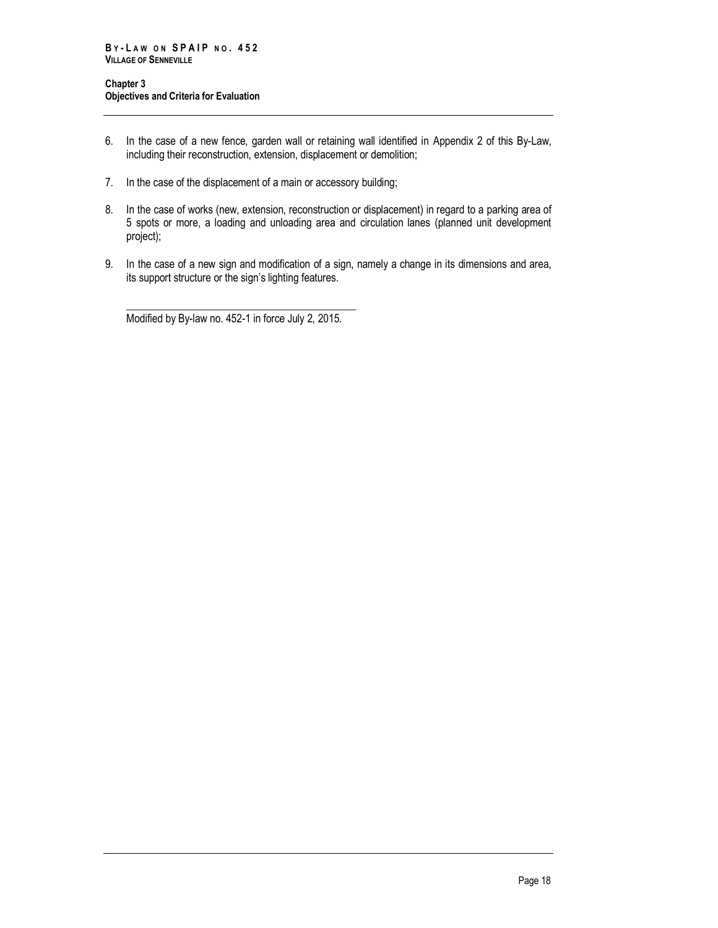- 6. In the case of a new fence, garden wall or retaining wall identified in Appendix 2 of this By-Law, including their reconstruction, extension, displacement or demolition;
- 7. In the case of the displacement of a main or accessory building;
- 8. In the case of works (new, extension, reconstruction or displacement) in regard to a parking area of 5 spots or more, a loading and unloading area and circulation lanes (planned unit development project);
- 9. In the case of a new sign and modification of a sign, namely a change in its dimensions and area, its support structure or the sign's lighting features.

\_\_\_\_\_\_\_\_\_\_\_\_\_\_\_\_\_\_\_\_\_\_\_\_\_\_\_\_\_\_\_\_\_\_\_\_\_\_\_\_\_\_\_ Modified by By-law no. 452-1 in force July 2, 2015.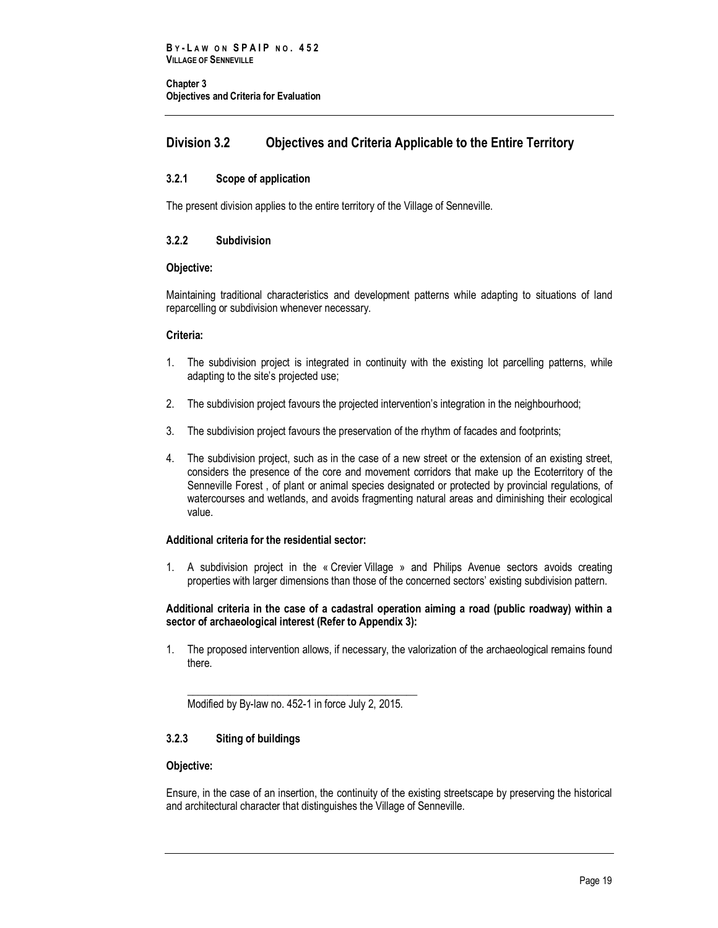## <span id="page-26-0"></span>**Division 3.2 Objectives and Criteria Applicable to the Entire Territory**

## <span id="page-26-1"></span>**3.2.1 Scope of application**

<span id="page-26-2"></span>The present division applies to the entire territory of the Village of Senneville.

## **3.2.2 Subdivision**

## **Objective:**

Maintaining traditional characteristics and development patterns while adapting to situations of land reparcelling or subdivision whenever necessary.

## **Criteria:**

- 1. The subdivision project is integrated in continuity with the existing lot parcelling patterns, while adapting to the site's projected use;
- 2. The subdivision project favours the projected intervention's integration in the neighbourhood;
- 3. The subdivision project favours the preservation of the rhythm of facades and footprints;
- 4. The subdivision project, such as in the case of a new street or the extension of an existing street, considers the presence of the core and movement corridors that make up the Ecoterritory of the Senneville Forest , of plant or animal species designated or protected by provincial regulations, of watercourses and wetlands, and avoids fragmenting natural areas and diminishing their ecological value.

## **Additional criteria for the residential sector:**

1. A subdivision project in the « Crevier Village » and Philips Avenue sectors avoids creating properties with larger dimensions than those of the concerned sectors' existing subdivision pattern.

#### **Additional criteria in the case of a cadastral operation aiming a road (public roadway) within a sector of archaeological interest (Refer to Appendix 3):**

1. The proposed intervention allows, if necessary, the valorization of the archaeological remains found there.

\_\_\_\_\_\_\_\_\_\_\_\_\_\_\_\_\_\_\_\_\_\_\_\_\_\_\_\_\_\_\_\_\_\_\_\_\_\_\_\_\_\_\_ Modified by By-law no. 452-1 in force July 2, 2015.

## <span id="page-26-3"></span>**3.2.3 Siting of buildings**

## **Objective:**

Ensure, in the case of an insertion, the continuity of the existing streetscape by preserving the historical and architectural character that distinguishes the Village of Senneville.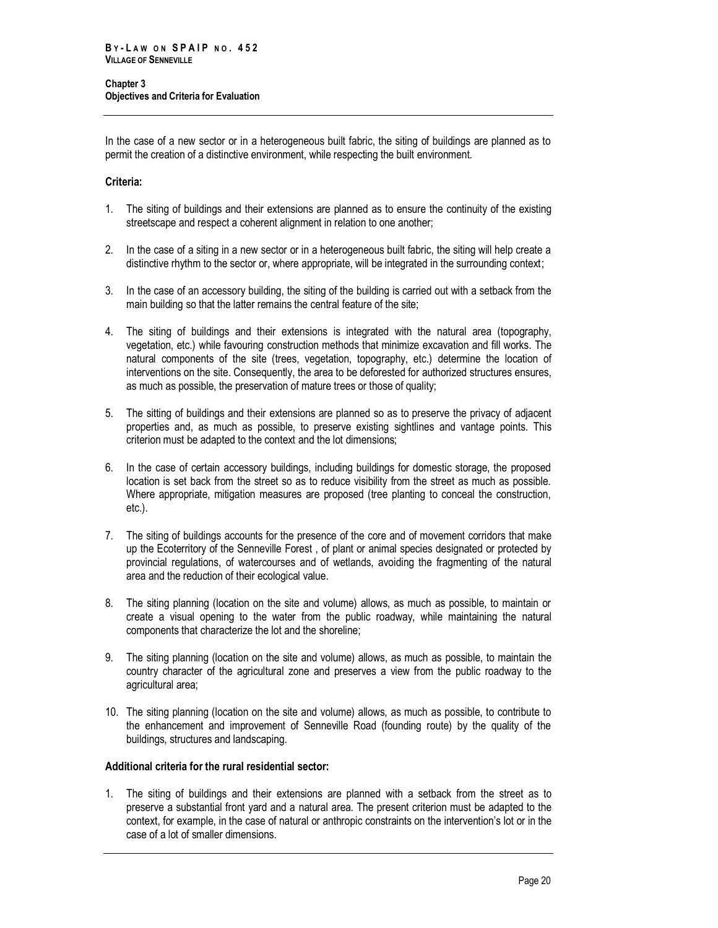In the case of a new sector or in a heterogeneous built fabric, the siting of buildings are planned as to permit the creation of a distinctive environment, while respecting the built environment.

## **Criteria:**

- 1. The siting of buildings and their extensions are planned as to ensure the continuity of the existing streetscape and respect a coherent alignment in relation to one another;
- 2. In the case of a siting in a new sector or in a heterogeneous built fabric, the siting will help create a distinctive rhythm to the sector or, where appropriate, will be integrated in the surrounding context;
- 3. In the case of an accessory building, the siting of the building is carried out with a setback from the main building so that the latter remains the central feature of the site;
- 4. The siting of buildings and their extensions is integrated with the natural area (topography, vegetation, etc.) while favouring construction methods that minimize excavation and fill works. The natural components of the site (trees, vegetation, topography, etc.) determine the location of interventions on the site. Consequently, the area to be deforested for authorized structures ensures, as much as possible, the preservation of mature trees or those of quality;
- 5. The sitting of buildings and their extensions are planned so as to preserve the privacy of adjacent properties and, as much as possible, to preserve existing sightlines and vantage points. This criterion must be adapted to the context and the lot dimensions;
- 6. In the case of certain accessory buildings, including buildings for domestic storage, the proposed location is set back from the street so as to reduce visibility from the street as much as possible. Where appropriate, mitigation measures are proposed (tree planting to conceal the construction, etc.).
- 7. The siting of buildings accounts for the presence of the core and of movement corridors that make up the Ecoterritory of the Senneville Forest , of plant or animal species designated or protected by provincial regulations, of watercourses and of wetlands, avoiding the fragmenting of the natural area and the reduction of their ecological value.
- 8. The siting planning (location on the site and volume) allows, as much as possible, to maintain or create a visual opening to the water from the public roadway, while maintaining the natural components that characterize the lot and the shoreline;
- 9. The siting planning (location on the site and volume) allows, as much as possible, to maintain the country character of the agricultural zone and preserves a view from the public roadway to the agricultural area;
- 10. The siting planning (location on the site and volume) allows, as much as possible, to contribute to the enhancement and improvement of Senneville Road (founding route) by the quality of the buildings, structures and landscaping.

## **Additional criteria for the rural residential sector:**

1. The siting of buildings and their extensions are planned with a setback from the street as to preserve a substantial front yard and a natural area. The present criterion must be adapted to the context, for example, in the case of natural or anthropic constraints on the intervention's lot or in the case of a lot of smaller dimensions.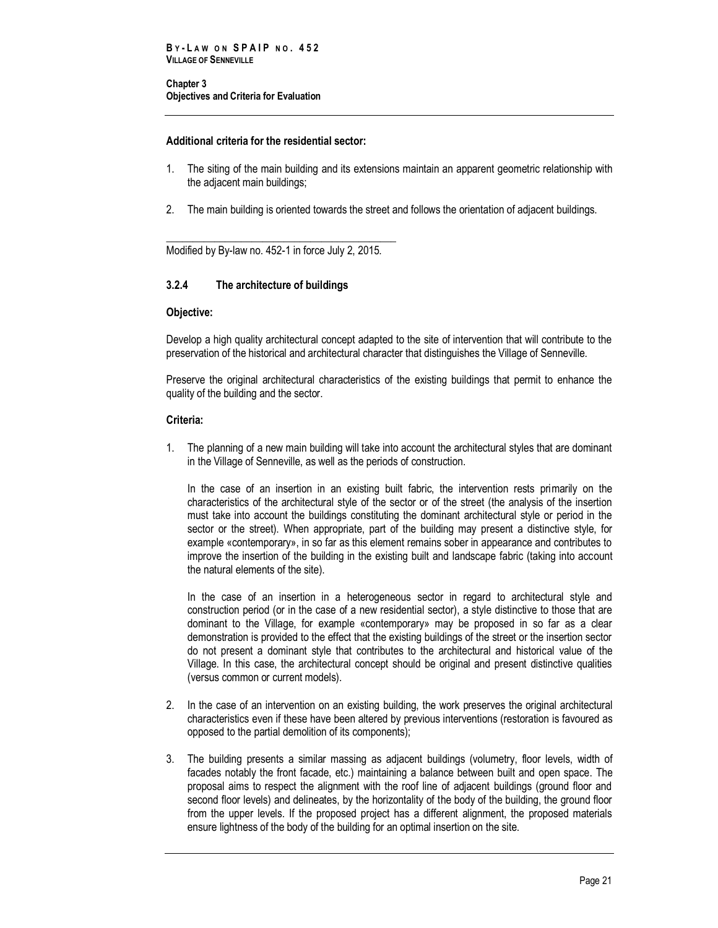## **Additional criteria for the residential sector:**

- 1. The siting of the main building and its extensions maintain an apparent geometric relationship with the adjacent main buildings;
- 2. The main building is oriented towards the street and follows the orientation of adjacent buildings.

\_\_\_\_\_\_\_\_\_\_\_\_\_\_\_\_\_\_\_\_\_\_\_\_\_\_\_\_\_\_\_\_\_\_\_\_\_\_\_\_\_\_\_ Modified by By-law no. 452-1 in force July 2, 2015.

## <span id="page-28-0"></span>**3.2.4 The architecture of buildings**

#### **Objective:**

Develop a high quality architectural concept adapted to the site of intervention that will contribute to the preservation of the historical and architectural character that distinguishes the Village of Senneville.

Preserve the original architectural characteristics of the existing buildings that permit to enhance the quality of the building and the sector.

#### **Criteria:**

1. The planning of a new main building will take into account the architectural styles that are dominant in the Village of Senneville, as well as the periods of construction.

In the case of an insertion in an existing built fabric, the intervention rests primarily on the characteristics of the architectural style of the sector or of the street (the analysis of the insertion must take into account the buildings constituting the dominant architectural style or period in the sector or the street). When appropriate, part of the building may present a distinctive style, for example «contemporary», in so far as this element remains sober in appearance and contributes to improve the insertion of the building in the existing built and landscape fabric (taking into account the natural elements of the site).

In the case of an insertion in a heterogeneous sector in regard to architectural style and construction period (or in the case of a new residential sector), a style distinctive to those that are dominant to the Village, for example «contemporary» may be proposed in so far as a clear demonstration is provided to the effect that the existing buildings of the street or the insertion sector do not present a dominant style that contributes to the architectural and historical value of the Village. In this case, the architectural concept should be original and present distinctive qualities (versus common or current models).

- 2. In the case of an intervention on an existing building, the work preserves the original architectural characteristics even if these have been altered by previous interventions (restoration is favoured as opposed to the partial demolition of its components);
- 3. The building presents a similar massing as adjacent buildings (volumetry, floor levels, width of facades notably the front facade, etc.) maintaining a balance between built and open space. The proposal aims to respect the alignment with the roof line of adjacent buildings (ground floor and second floor levels) and delineates, by the horizontality of the body of the building, the ground floor from the upper levels. If the proposed project has a different alignment, the proposed materials ensure lightness of the body of the building for an optimal insertion on the site.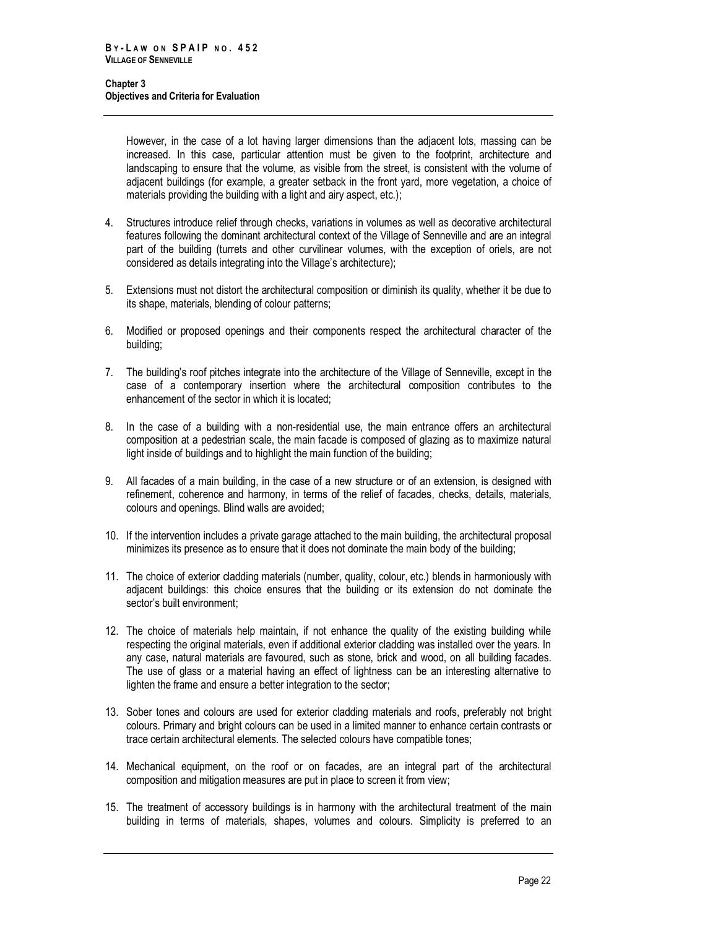However, in the case of a lot having larger dimensions than the adjacent lots, massing can be increased. In this case, particular attention must be given to the footprint, architecture and landscaping to ensure that the volume, as visible from the street, is consistent with the volume of adjacent buildings (for example, a greater setback in the front yard, more vegetation, a choice of materials providing the building with a light and airy aspect, etc.);

- 4. Structures introduce relief through checks, variations in volumes as well as decorative architectural features following the dominant architectural context of the Village of Senneville and are an integral part of the building (turrets and other curvilinear volumes, with the exception of oriels, are not considered as details integrating into the Village's architecture);
- 5. Extensions must not distort the architectural composition or diminish its quality, whether it be due to its shape, materials, blending of colour patterns;
- 6. Modified or proposed openings and their components respect the architectural character of the building;
- 7. The building's roof pitches integrate into the architecture of the Village of Senneville, except in the case of a contemporary insertion where the architectural composition contributes to the enhancement of the sector in which it is located;
- 8. In the case of a building with a non-residential use, the main entrance offers an architectural composition at a pedestrian scale, the main facade is composed of glazing as to maximize natural light inside of buildings and to highlight the main function of the building;
- 9. All facades of a main building, in the case of a new structure or of an extension, is designed with refinement, coherence and harmony, in terms of the relief of facades, checks, details, materials, colours and openings. Blind walls are avoided;
- 10. If the intervention includes a private garage attached to the main building, the architectural proposal minimizes its presence as to ensure that it does not dominate the main body of the building;
- 11. The choice of exterior cladding materials (number, quality, colour, etc.) blends in harmoniously with adjacent buildings: this choice ensures that the building or its extension do not dominate the sector's built environment;
- 12. The choice of materials help maintain, if not enhance the quality of the existing building while respecting the original materials, even if additional exterior cladding was installed over the years. In any case, natural materials are favoured, such as stone, brick and wood, on all building facades. The use of glass or a material having an effect of lightness can be an interesting alternative to lighten the frame and ensure a better integration to the sector;
- 13. Sober tones and colours are used for exterior cladding materials and roofs, preferably not bright colours. Primary and bright colours can be used in a limited manner to enhance certain contrasts or trace certain architectural elements. The selected colours have compatible tones;
- 14. Mechanical equipment, on the roof or on facades, are an integral part of the architectural composition and mitigation measures are put in place to screen it from view;
- 15. The treatment of accessory buildings is in harmony with the architectural treatment of the main building in terms of materials, shapes, volumes and colours. Simplicity is preferred to an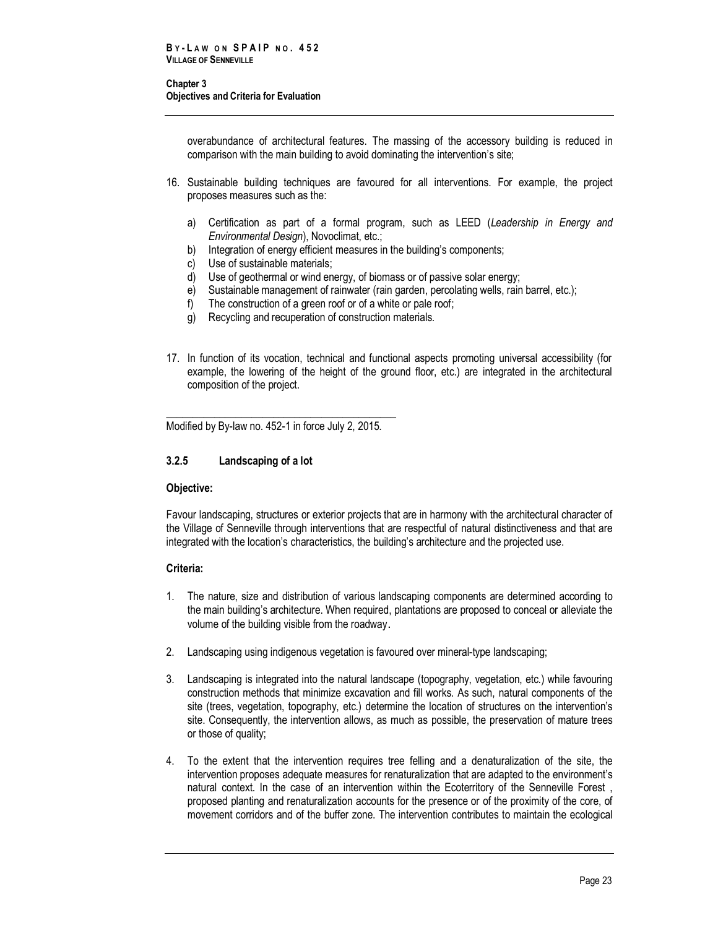overabundance of architectural features. The massing of the accessory building is reduced in comparison with the main building to avoid dominating the intervention's site;

- 16. Sustainable building techniques are favoured for all interventions. For example, the project proposes measures such as the:
	- a) Certification as part of a formal program, such as LEED (*Leadership in Energy and Environmental Design*), Novoclimat, etc.;
	- b) Integration of energy efficient measures in the building's components;
	- c) Use of sustainable materials;
	- d) Use of geothermal or wind energy, of biomass or of passive solar energy;
	- e) Sustainable management of rainwater (rain garden, percolating wells, rain barrel, etc.);
	- f) The construction of a green roof or of a white or pale roof;
	- g) Recycling and recuperation of construction materials.
- 17. In function of its vocation, technical and functional aspects promoting universal accessibility (for example, the lowering of the height of the ground floor, etc.) are integrated in the architectural composition of the project.

\_\_\_\_\_\_\_\_\_\_\_\_\_\_\_\_\_\_\_\_\_\_\_\_\_\_\_\_\_\_\_\_\_\_\_\_\_\_\_\_\_\_\_ Modified by By-law no. 452-1 in force July 2, 2015.

## <span id="page-30-0"></span>**3.2.5 Landscaping of a lot**

## **Objective:**

Favour landscaping, structures or exterior projects that are in harmony with the architectural character of the Village of Senneville through interventions that are respectful of natural distinctiveness and that are integrated with the location's characteristics, the building's architecture and the projected use.

## **Criteria:**

- 1. The nature, size and distribution of various landscaping components are determined according to the main building's architecture. When required, plantations are proposed to conceal or alleviate the volume of the building visible from the roadway.
- 2. Landscaping using indigenous vegetation is favoured over mineral-type landscaping;
- 3. Landscaping is integrated into the natural landscape (topography, vegetation, etc.) while favouring construction methods that minimize excavation and fill works. As such, natural components of the site (trees, vegetation, topography, etc.) determine the location of structures on the intervention's site. Consequently, the intervention allows, as much as possible, the preservation of mature trees or those of quality;
- 4. To the extent that the intervention requires tree felling and a denaturalization of the site, the intervention proposes adequate measures for renaturalization that are adapted to the environment's natural context. In the case of an intervention within the Ecoterritory of the Senneville Forest , proposed planting and renaturalization accounts for the presence or of the proximity of the core, of movement corridors and of the buffer zone. The intervention contributes to maintain the ecological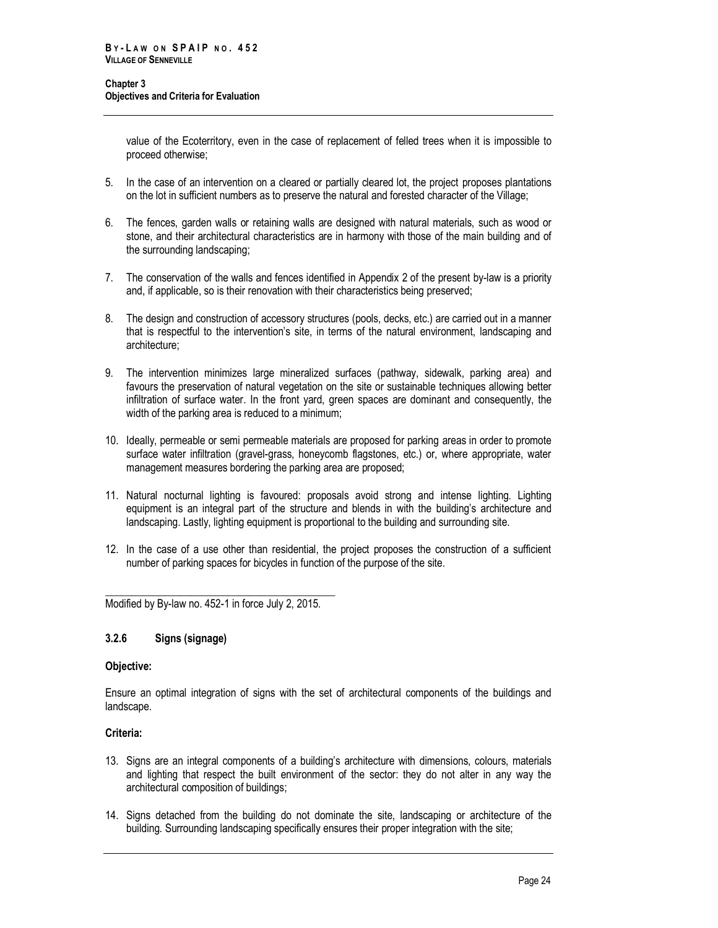value of the Ecoterritory, even in the case of replacement of felled trees when it is impossible to proceed otherwise;

- 5. In the case of an intervention on a cleared or partially cleared lot, the project proposes plantations on the lot in sufficient numbers as to preserve the natural and forested character of the Village;
- 6. The fences, garden walls or retaining walls are designed with natural materials, such as wood or stone, and their architectural characteristics are in harmony with those of the main building and of the surrounding landscaping;
- 7. The conservation of the walls and fences identified in Appendix 2 of the present by-law is a priority and, if applicable, so is their renovation with their characteristics being preserved;
- 8. The design and construction of accessory structures (pools, decks, etc.) are carried out in a manner that is respectful to the intervention's site, in terms of the natural environment, landscaping and architecture;
- 9. The intervention minimizes large mineralized surfaces (pathway, sidewalk, parking area) and favours the preservation of natural vegetation on the site or sustainable techniques allowing better infiltration of surface water. In the front yard, green spaces are dominant and consequently, the width of the parking area is reduced to a minimum;
- 10. Ideally, permeable or semi permeable materials are proposed for parking areas in order to promote surface water infiltration (gravel-grass, honeycomb flagstones, etc.) or, where appropriate, water management measures bordering the parking area are proposed;
- 11. Natural nocturnal lighting is favoured: proposals avoid strong and intense lighting. Lighting equipment is an integral part of the structure and blends in with the building's architecture and landscaping. Lastly, lighting equipment is proportional to the building and surrounding site.
- 12. In the case of a use other than residential, the project proposes the construction of a sufficient number of parking spaces for bicycles in function of the purpose of the site.

\_\_\_\_\_\_\_\_\_\_\_\_\_\_\_\_\_\_\_\_\_\_\_\_\_\_\_\_\_\_\_\_\_\_\_\_\_\_\_\_\_\_\_ Modified by By-law no. 452-1 in force July 2, 2015.

## <span id="page-31-0"></span>**3.2.6 Signs (signage)**

## **Objective:**

Ensure an optimal integration of signs with the set of architectural components of the buildings and landscape.

## **Criteria:**

- 13. Signs are an integral components of a building's architecture with dimensions, colours, materials and lighting that respect the built environment of the sector: they do not alter in any way the architectural composition of buildings;
- 14. Signs detached from the building do not dominate the site, landscaping or architecture of the building. Surrounding landscaping specifically ensures their proper integration with the site;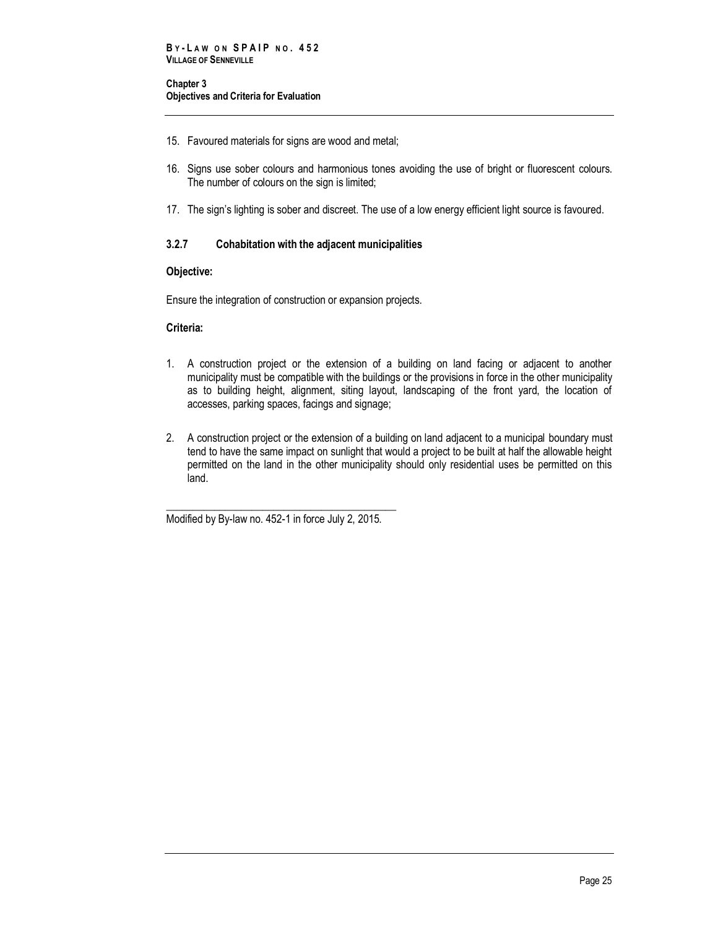- 15. Favoured materials for signs are wood and metal;
- 16. Signs use sober colours and harmonious tones avoiding the use of bright or fluorescent colours. The number of colours on the sign is limited;
- 17. The sign's lighting is sober and discreet. The use of a low energy efficient light source is favoured.

## **3.2.7 Cohabitation with the adjacent municipalities**

## **Objective:**

Ensure the integration of construction or expansion projects.

## **Criteria:**

- 1. A construction project or the extension of a building on land facing or adjacent to another municipality must be compatible with the buildings or the provisions in force in the other municipality as to building height, alignment, siting layout, landscaping of the front yard, the location of accesses, parking spaces, facings and signage;
- 2. A construction project or the extension of a building on land adjacent to a municipal boundary must tend to have the same impact on sunlight that would a project to be built at half the allowable height permitted on the land in the other municipality should only residential uses be permitted on this land.

\_\_\_\_\_\_\_\_\_\_\_\_\_\_\_\_\_\_\_\_\_\_\_\_\_\_\_\_\_\_\_\_\_\_\_\_\_\_\_\_\_\_\_ Modified by By-law no. 452-1 in force July 2, 2015.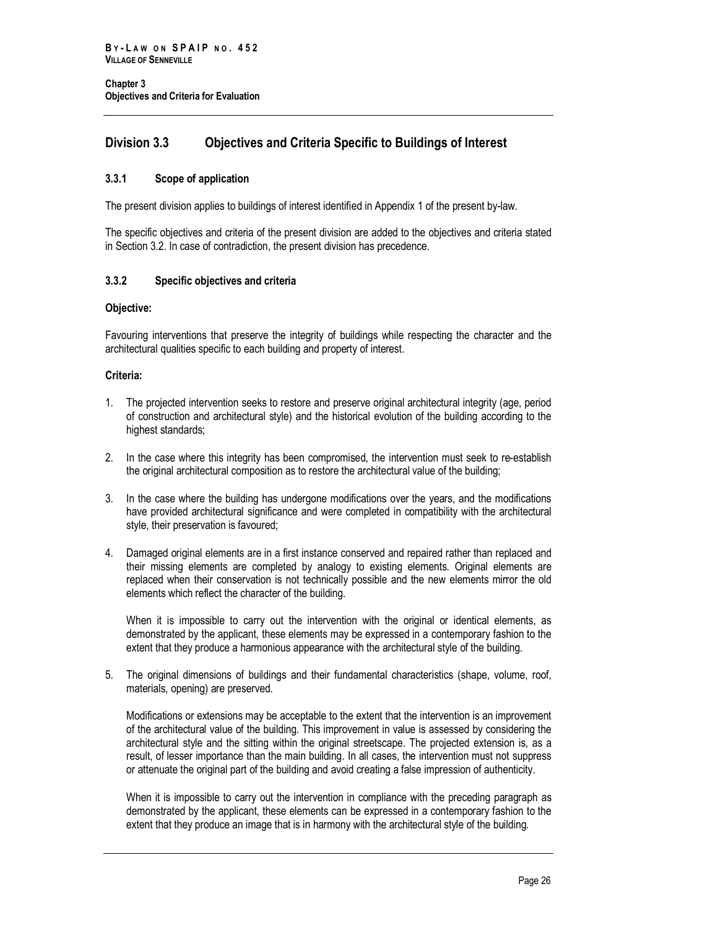## <span id="page-33-0"></span>**Division 3.3 Objectives and Criteria Specific to Buildings of Interest**

## <span id="page-33-1"></span>**3.3.1 Scope of application**

The present division applies to buildings of interest identified in Appendix 1 of the present by-law.

The specific objectives and criteria of the present division are added to the objectives and criteria stated in Section 3.2. In case of contradiction, the present division has precedence.

## <span id="page-33-2"></span>**3.3.2 Specific objectives and criteria**

## **Objective:**

Favouring interventions that preserve the integrity of buildings while respecting the character and the architectural qualities specific to each building and property of interest.

## **Criteria:**

- 1. The projected intervention seeks to restore and preserve original architectural integrity (age, period of construction and architectural style) and the historical evolution of the building according to the highest standards;
- 2. In the case where this integrity has been compromised, the intervention must seek to re-establish the original architectural composition as to restore the architectural value of the building;
- 3. In the case where the building has undergone modifications over the years, and the modifications have provided architectural significance and were completed in compatibility with the architectural style, their preservation is favoured;
- 4. Damaged original elements are in a first instance conserved and repaired rather than replaced and their missing elements are completed by analogy to existing elements. Original elements are replaced when their conservation is not technically possible and the new elements mirror the old elements which reflect the character of the building.

When it is impossible to carry out the intervention with the original or identical elements, as demonstrated by the applicant, these elements may be expressed in a contemporary fashion to the extent that they produce a harmonious appearance with the architectural style of the building.

5. The original dimensions of buildings and their fundamental characteristics (shape, volume, roof, materials, opening) are preserved.

Modifications or extensions may be acceptable to the extent that the intervention is an improvement of the architectural value of the building. This improvement in value is assessed by considering the architectural style and the sitting within the original streetscape. The projected extension is, as a result, of lesser importance than the main building. In all cases, the intervention must not suppress or attenuate the original part of the building and avoid creating a false impression of authenticity.

When it is impossible to carry out the intervention in compliance with the preceding paragraph as demonstrated by the applicant, these elements can be expressed in a contemporary fashion to the extent that they produce an image that is in harmony with the architectural style of the building.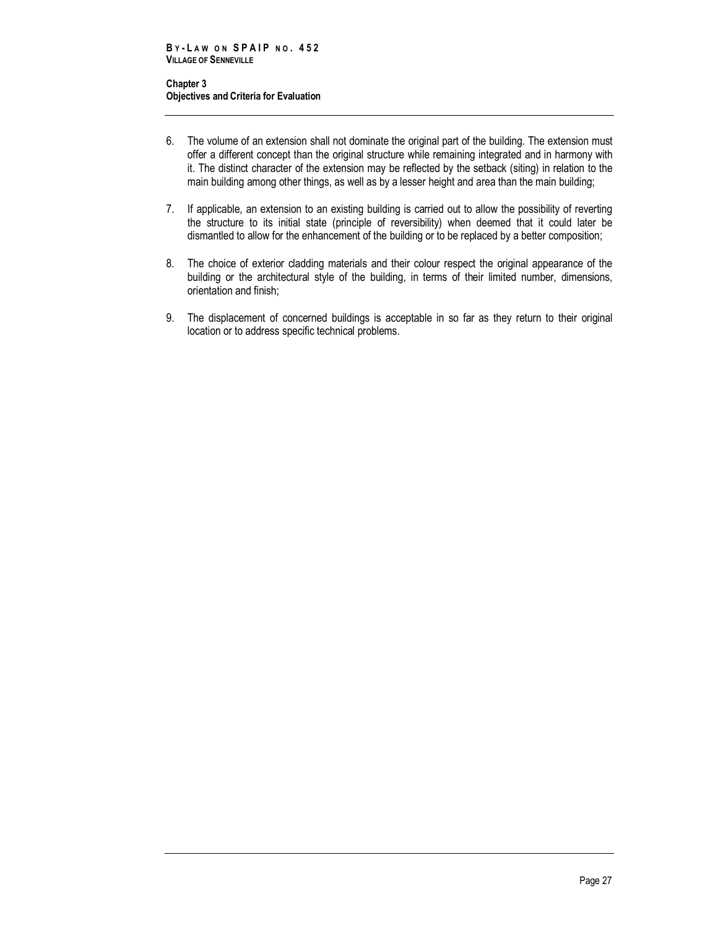- 6. The volume of an extension shall not dominate the original part of the building. The extension must offer a different concept than the original structure while remaining integrated and in harmony with it. The distinct character of the extension may be reflected by the setback (siting) in relation to the main building among other things, as well as by a lesser height and area than the main building;
- 7. If applicable, an extension to an existing building is carried out to allow the possibility of reverting the structure to its initial state (principle of reversibility) when deemed that it could later be dismantled to allow for the enhancement of the building or to be replaced by a better composition;
- 8. The choice of exterior cladding materials and their colour respect the original appearance of the building or the architectural style of the building, in terms of their limited number, dimensions, orientation and finish;
- 9. The displacement of concerned buildings is acceptable in so far as they return to their original location or to address specific technical problems.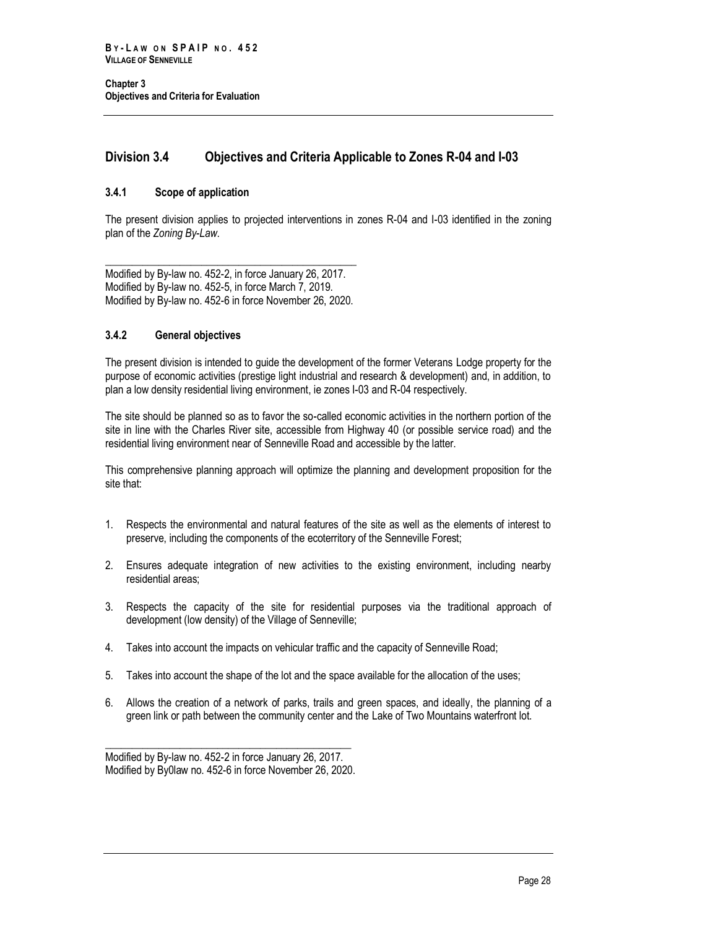## <span id="page-35-0"></span>**Division 3.4 Objectives and Criteria Applicable to Zones R-04 and I-03**

## <span id="page-35-1"></span>**3.4.1 Scope of application**

The present division applies to projected interventions in zones R-04 and I-03 identified in the zoning plan of the *Zoning By-Law*.

Modified by By-law no. 452-2, in force January 26, 2017. Modified by By-law no. 452-5, in force March 7, 2019. Modified by By-law no. 452-6 in force November 26, 2020.

\_\_\_\_\_\_\_\_\_\_\_\_\_\_\_\_\_\_\_\_\_\_\_\_\_\_\_\_\_\_\_\_\_\_\_\_\_\_\_\_\_\_\_\_\_\_\_

## <span id="page-35-2"></span>**3.4.2 General objectives**

The present division is intended to guide the development of the former Veterans Lodge property for the purpose of economic activities (prestige light industrial and research & development) and, in addition, to plan a low density residential living environment, ie zones I-03 and R-04 respectively.

The site should be planned so as to favor the so-called economic activities in the northern portion of the site in line with the Charles River site, accessible from Highway 40 (or possible service road) and the residential living environment near of Senneville Road and accessible by the latter.

This comprehensive planning approach will optimize the planning and development proposition for the site that:

- 1. Respects the environmental and natural features of the site as well as the elements of interest to preserve, including the components of the ecoterritory of the Senneville Forest;
- 2. Ensures adequate integration of new activities to the existing environment, including nearby residential areas;
- 3. Respects the capacity of the site for residential purposes via the traditional approach of development (low density) of the Village of Senneville;
- 4. Takes into account the impacts on vehicular traffic and the capacity of Senneville Road;
- 5. Takes into account the shape of the lot and the space available for the allocation of the uses;
- 6. Allows the creation of a network of parks, trails and green spaces, and ideally, the planning of a green link or path between the community center and the Lake of Two Mountains waterfront lot.

\_\_\_\_\_\_\_\_\_\_\_\_\_\_\_\_\_\_\_\_\_\_\_\_\_\_\_\_\_\_\_\_\_\_\_\_\_\_\_\_\_\_\_\_\_\_ Modified by By-law no. 452-2 in force January 26, 2017. Modified by By0law no. 452-6 in force November 26, 2020.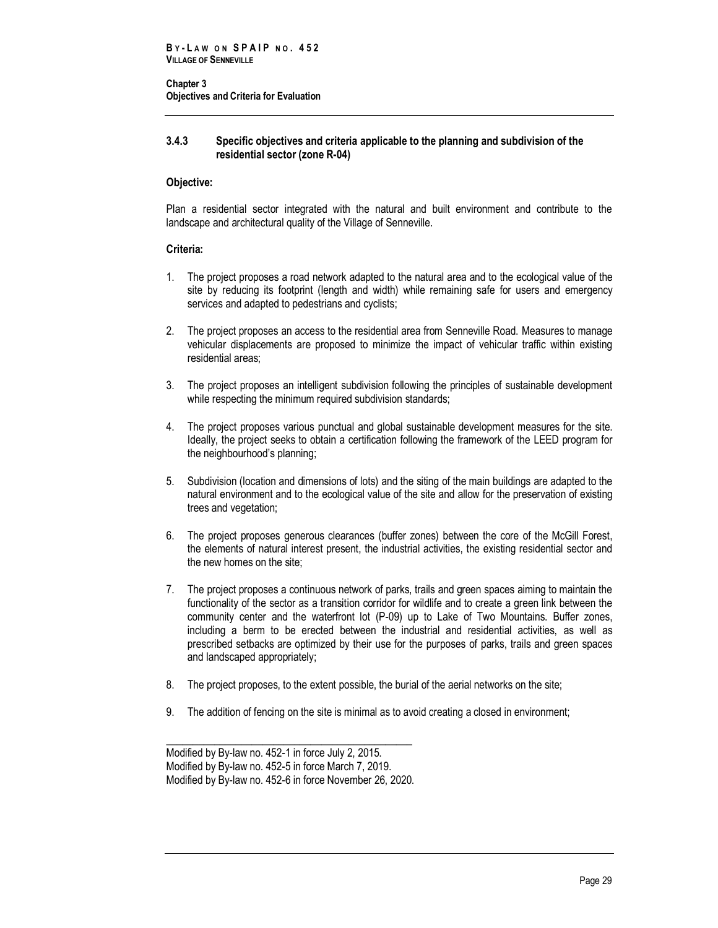## **3.4.3 Specific objectives and criteria applicable to the planning and subdivision of the residential sector (zone R-04)**

## **Objective:**

Plan a residential sector integrated with the natural and built environment and contribute to the landscape and architectural quality of the Village of Senneville.

## **Criteria:**

- 1. The project proposes a road network adapted to the natural area and to the ecological value of the site by reducing its footprint (length and width) while remaining safe for users and emergency services and adapted to pedestrians and cyclists;
- 2. The project proposes an access to the residential area from Senneville Road. Measures to manage vehicular displacements are proposed to minimize the impact of vehicular traffic within existing residential areas;
- 3. The project proposes an intelligent subdivision following the principles of sustainable development while respecting the minimum required subdivision standards;
- 4. The project proposes various punctual and global sustainable development measures for the site. Ideally, the project seeks to obtain a certification following the framework of the LEED program for the neighbourhood's planning;
- 5. Subdivision (location and dimensions of lots) and the siting of the main buildings are adapted to the natural environment and to the ecological value of the site and allow for the preservation of existing trees and vegetation;
- 6. The project proposes generous clearances (buffer zones) between the core of the McGill Forest, the elements of natural interest present, the industrial activities, the existing residential sector and the new homes on the site;
- 7. The project proposes a continuous network of parks, trails and green spaces aiming to maintain the functionality of the sector as a transition corridor for wildlife and to create a green link between the community center and the waterfront lot (P-09) up to Lake of Two Mountains. Buffer zones, including a berm to be erected between the industrial and residential activities, as well as prescribed setbacks are optimized by their use for the purposes of parks, trails and green spaces and landscaped appropriately;
- 8. The project proposes, to the extent possible, the burial of the aerial networks on the site;
- 9. The addition of fencing on the site is minimal as to avoid creating a closed in environment;

Modified by By-law no. 452-1 in force July 2, 2015. Modified by By-law no. 452-5 in force March 7, 2019. Modified by By-law no. 452-6 in force November 26, 2020.

\_\_\_\_\_\_\_\_\_\_\_\_\_\_\_\_\_\_\_\_\_\_\_\_\_\_\_\_\_\_\_\_\_\_\_\_\_\_\_\_\_\_\_\_\_\_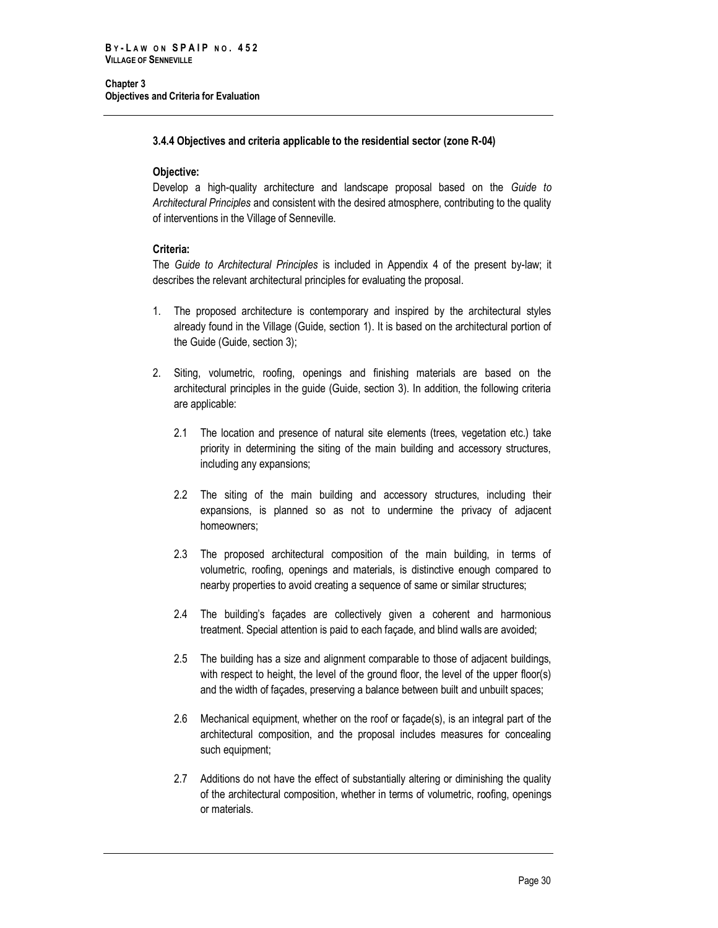## **3.4.4 Objectives and criteria applicable to the residential sector (zone R-04)**

## **Objective:**

Develop a high-quality architecture and landscape proposal based on the *Guide to Architectural Principles* and consistent with the desired atmosphere, contributing to the quality of interventions in the Village of Senneville.

## **Criteria:**

The *Guide to Architectural Principles* is included in Appendix 4 of the present by-law; it describes the relevant architectural principles for evaluating the proposal.

- 1. The proposed architecture is contemporary and inspired by the architectural styles already found in the Village (Guide, section 1). It is based on the architectural portion of the Guide (Guide, section 3);
- 2. Siting, volumetric, roofing, openings and finishing materials are based on the architectural principles in the guide (Guide, section 3). In addition, the following criteria are applicable:
	- 2.1 The location and presence of natural site elements (trees, vegetation etc.) take priority in determining the siting of the main building and accessory structures, including any expansions;
	- 2.2 The siting of the main building and accessory structures, including their expansions, is planned so as not to undermine the privacy of adjacent homeowners;
	- 2.3 The proposed architectural composition of the main building, in terms of volumetric, roofing, openings and materials, is distinctive enough compared to nearby properties to avoid creating a sequence of same or similar structures;
	- 2.4 The building's façades are collectively given a coherent and harmonious treatment. Special attention is paid to each façade, and blind walls are avoided;
	- 2.5 The building has a size and alignment comparable to those of adjacent buildings, with respect to height, the level of the ground floor, the level of the upper floor(s) and the width of façades, preserving a balance between built and unbuilt spaces;
	- 2.6 Mechanical equipment, whether on the roof or façade(s), is an integral part of the architectural composition, and the proposal includes measures for concealing such equipment;
	- 2.7 Additions do not have the effect of substantially altering or diminishing the quality of the architectural composition, whether in terms of volumetric, roofing, openings or materials.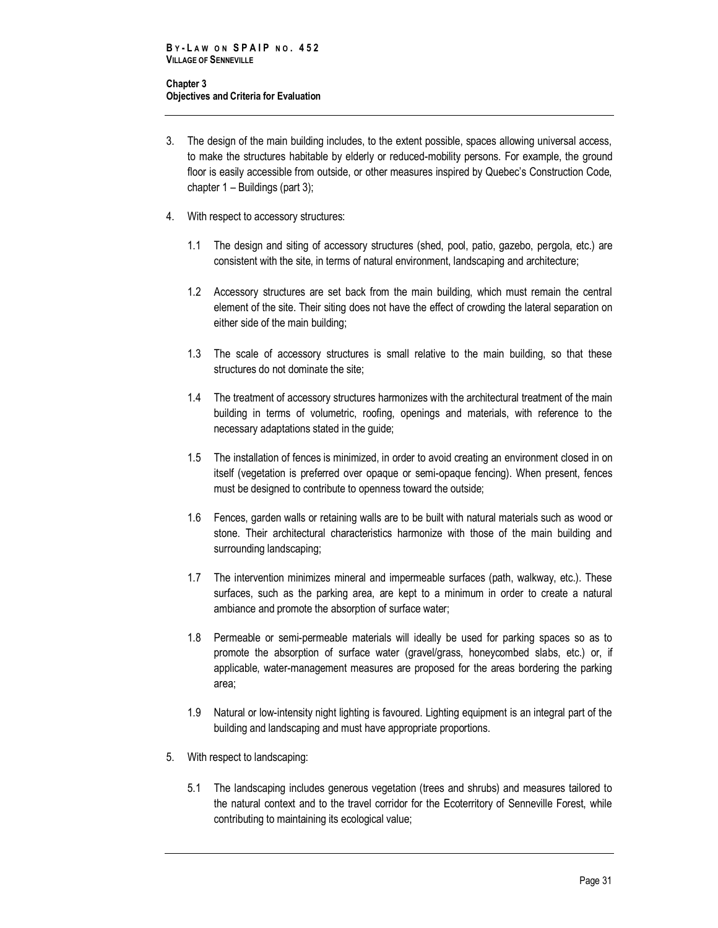- 3. The design of the main building includes, to the extent possible, spaces allowing universal access, to make the structures habitable by elderly or reduced-mobility persons. For example, the ground floor is easily accessible from outside, or other measures inspired by Quebec's Construction Code, chapter 1 – Buildings (part 3);
- 4. With respect to accessory structures:
	- 1.1 The design and siting of accessory structures (shed, pool, patio, gazebo, pergola, etc.) are consistent with the site, in terms of natural environment, landscaping and architecture;
	- 1.2 Accessory structures are set back from the main building, which must remain the central element of the site. Their siting does not have the effect of crowding the lateral separation on either side of the main building;
	- 1.3 The scale of accessory structures is small relative to the main building, so that these structures do not dominate the site;
	- 1.4 The treatment of accessory structures harmonizes with the architectural treatment of the main building in terms of volumetric, roofing, openings and materials, with reference to the necessary adaptations stated in the guide;
	- 1.5 The installation of fences is minimized, in order to avoid creating an environment closed in on itself (vegetation is preferred over opaque or semi-opaque fencing). When present, fences must be designed to contribute to openness toward the outside;
	- 1.6 Fences, garden walls or retaining walls are to be built with natural materials such as wood or stone. Their architectural characteristics harmonize with those of the main building and surrounding landscaping;
	- 1.7 The intervention minimizes mineral and impermeable surfaces (path, walkway, etc.). These surfaces, such as the parking area, are kept to a minimum in order to create a natural ambiance and promote the absorption of surface water;
	- 1.8 Permeable or semi-permeable materials will ideally be used for parking spaces so as to promote the absorption of surface water (gravel/grass, honeycombed slabs, etc.) or, if applicable, water-management measures are proposed for the areas bordering the parking area;
	- 1.9 Natural or low-intensity night lighting is favoured. Lighting equipment is an integral part of the building and landscaping and must have appropriate proportions.
- 5. With respect to landscaping:
	- 5.1 The landscaping includes generous vegetation (trees and shrubs) and measures tailored to the natural context and to the travel corridor for the Ecoterritory of Senneville Forest, while contributing to maintaining its ecological value;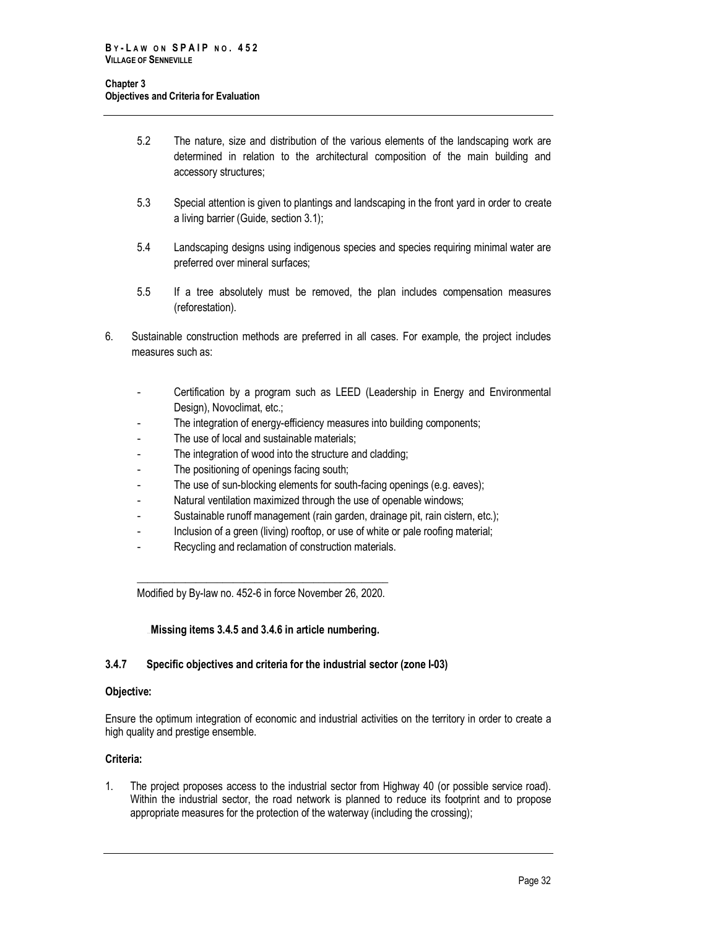- 5.2 The nature, size and distribution of the various elements of the landscaping work are determined in relation to the architectural composition of the main building and accessory structures;
- 5.3 Special attention is given to plantings and landscaping in the front yard in order to create a living barrier (Guide, section 3.1);
- 5.4 Landscaping designs using indigenous species and species requiring minimal water are preferred over mineral surfaces;
- 5.5 If a tree absolutely must be removed, the plan includes compensation measures (reforestation).
- 6. Sustainable construction methods are preferred in all cases. For example, the project includes measures such as:
	- Certification by a program such as LEED (Leadership in Energy and Environmental Design), Novoclimat, etc.;
	- The integration of energy-efficiency measures into building components;
	- The use of local and sustainable materials;
	- The integration of wood into the structure and cladding;
	- The positioning of openings facing south;
	- The use of sun-blocking elements for south-facing openings (e.g. eaves);
	- Natural ventilation maximized through the use of openable windows;
	- Sustainable runoff management (rain garden, drainage pit, rain cistern, etc.);
	- Inclusion of a green (living) rooftop, or use of white or pale roofing material;
	- Recycling and reclamation of construction materials.

\_\_\_\_\_\_\_\_\_\_\_\_\_\_\_\_\_\_\_\_\_\_\_\_\_\_\_\_\_\_\_\_\_\_\_\_\_\_\_\_\_\_\_\_\_\_\_ Modified by By-law no. 452-6 in force November 26, 2020.

Missing items 3.4.5 and 3.4.6 in article numbering.

## **3.4.7 Specific objectives and criteria for the industrial sector (zone I-03)**

## **Objective:**

Ensure the optimum integration of economic and industrial activities on the territory in order to create a high quality and prestige ensemble.

## **Criteria:**

1. The project proposes access to the industrial sector from Highway 40 (or possible service road). Within the industrial sector, the road network is planned to reduce its footprint and to propose appropriate measures for the protection of the waterway (including the crossing);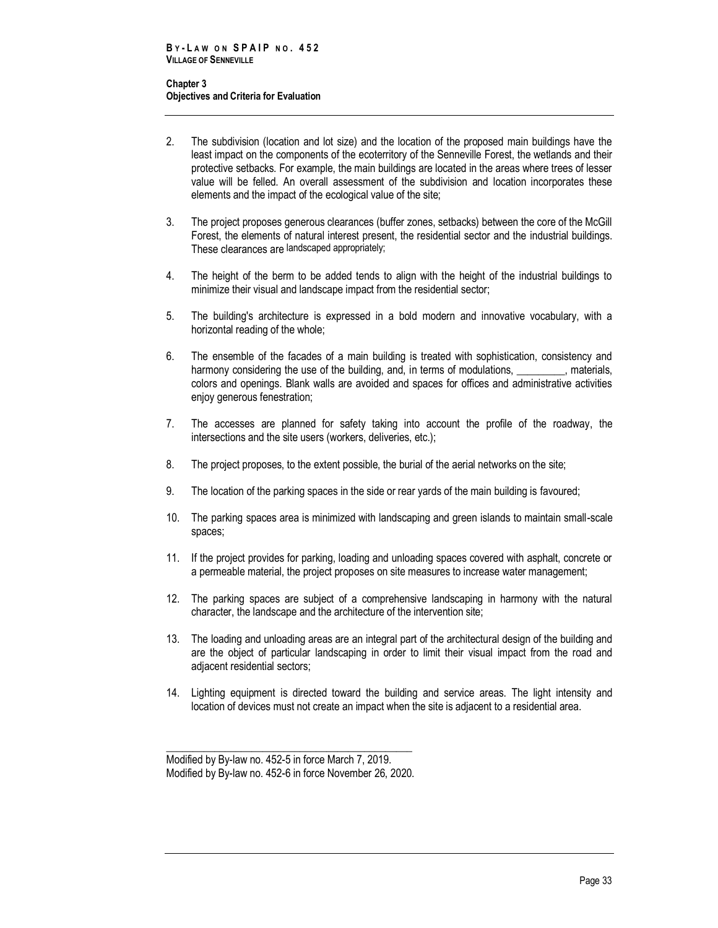- 2. The subdivision (location and lot size) and the location of the proposed main buildings have the least impact on the components of the ecoterritory of the Senneville Forest, the wetlands and their protective setbacks. For example, the main buildings are located in the areas where trees of lesser value will be felled. An overall assessment of the subdivision and location incorporates these elements and the impact of the ecological value of the site;
- 3. The project proposes generous clearances (buffer zones, setbacks) between the core of the McGill Forest, the elements of natural interest present, the residential sector and the industrial buildings. These clearances are landscaped appropriately;
- 4. The height of the berm to be added tends to align with the height of the industrial buildings to minimize their visual and landscape impact from the residential sector;
- 5. The building's architecture is expressed in a bold modern and innovative vocabulary, with a horizontal reading of the whole;
- 6. The ensemble of the facades of a main building is treated with sophistication, consistency and harmony considering the use of the building, and, in terms of modulations, **we can be a**, materials, colors and openings. Blank walls are avoided and spaces for offices and administrative activities enjoy generous fenestration;
- 7. The accesses are planned for safety taking into account the profile of the roadway, the intersections and the site users (workers, deliveries, etc.);
- 8. The project proposes, to the extent possible, the burial of the aerial networks on the site;
- 9. The location of the parking spaces in the side or rear yards of the main building is favoured;
- 10. The parking spaces area is minimized with landscaping and green islands to maintain small-scale spaces;
- 11. If the project provides for parking, loading and unloading spaces covered with asphalt, concrete or a permeable material, the project proposes on site measures to increase water management;
- 12. The parking spaces are subject of a comprehensive landscaping in harmony with the natural character, the landscape and the architecture of the intervention site;
- 13. The loading and unloading areas are an integral part of the architectural design of the building and are the object of particular landscaping in order to limit their visual impact from the road and adjacent residential sectors;
- 14. Lighting equipment is directed toward the building and service areas. The light intensity and location of devices must not create an impact when the site is adjacent to a residential area.

\_\_\_\_\_\_\_\_\_\_\_\_\_\_\_\_\_\_\_\_\_\_\_\_\_\_\_\_\_\_\_\_\_\_\_\_\_\_\_\_\_\_\_\_\_\_ Modified by By-law no. 452-5 in force March 7, 2019. Modified by By-law no. 452-6 in force November 26, 2020.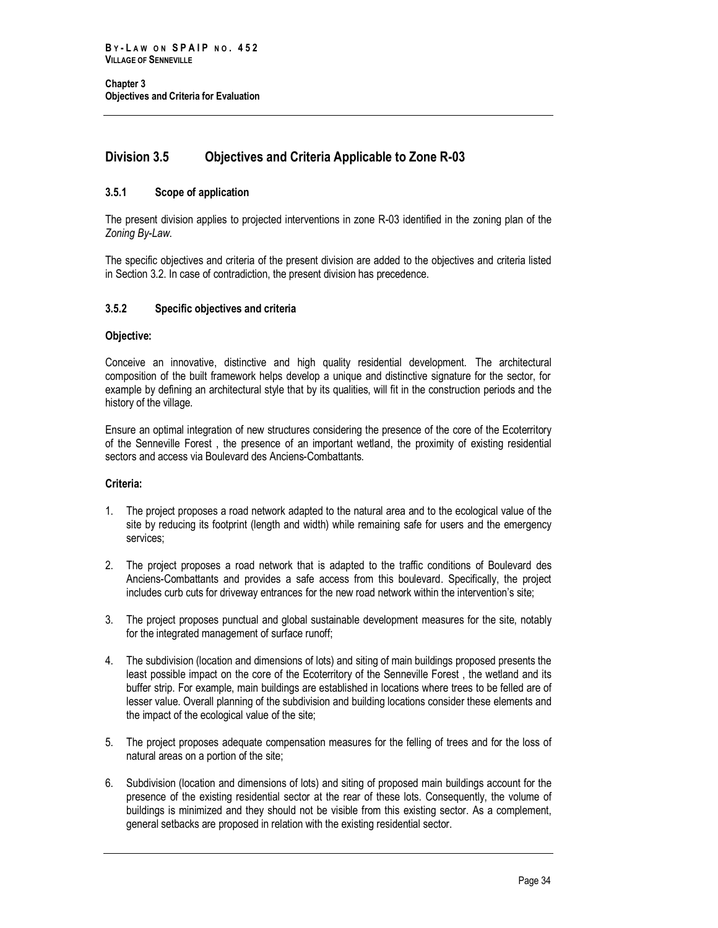## <span id="page-41-0"></span>**Division 3.5 Objectives and Criteria Applicable to Zone R-03**

## <span id="page-41-1"></span>**3.5.1 Scope of application**

The present division applies to projected interventions in zone R-03 identified in the zoning plan of the *Zoning By-Law*.

The specific objectives and criteria of the present division are added to the objectives and criteria listed in Section 3.2. In case of contradiction, the present division has precedence.

## <span id="page-41-2"></span>**3.5.2 Specific objectives and criteria**

## **Objective:**

Conceive an innovative, distinctive and high quality residential development. The architectural composition of the built framework helps develop a unique and distinctive signature for the sector, for example by defining an architectural style that by its qualities, will fit in the construction periods and the history of the village.

Ensure an optimal integration of new structures considering the presence of the core of the Ecoterritory of the Senneville Forest , the presence of an important wetland, the proximity of existing residential sectors and access via Boulevard des Anciens-Combattants.

## **Criteria:**

- 1. The project proposes a road network adapted to the natural area and to the ecological value of the site by reducing its footprint (length and width) while remaining safe for users and the emergency services;
- 2. The project proposes a road network that is adapted to the traffic conditions of Boulevard des Anciens-Combattants and provides a safe access from this boulevard. Specifically, the project includes curb cuts for driveway entrances for the new road network within the intervention's site;
- 3. The project proposes punctual and global sustainable development measures for the site, notably for the integrated management of surface runoff;
- 4. The subdivision (location and dimensions of lots) and siting of main buildings proposed presents the least possible impact on the core of the Ecoterritory of the Senneville Forest , the wetland and its buffer strip. For example, main buildings are established in locations where trees to be felled are of lesser value. Overall planning of the subdivision and building locations consider these elements and the impact of the ecological value of the site;
- 5. The project proposes adequate compensation measures for the felling of trees and for the loss of natural areas on a portion of the site;
- 6. Subdivision (location and dimensions of lots) and siting of proposed main buildings account for the presence of the existing residential sector at the rear of these lots. Consequently, the volume of buildings is minimized and they should not be visible from this existing sector. As a complement, general setbacks are proposed in relation with the existing residential sector.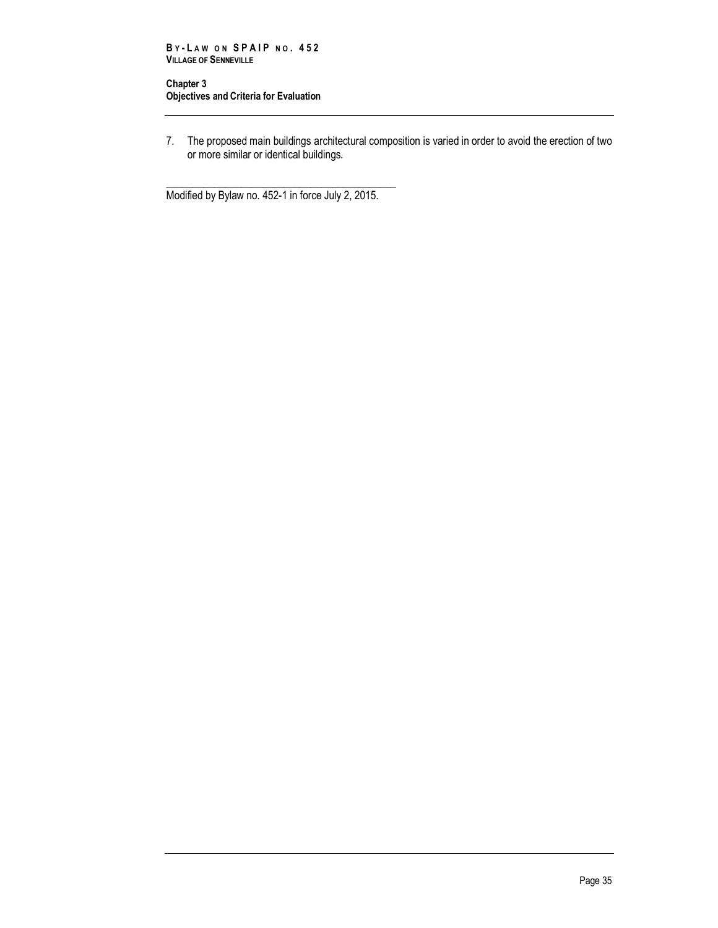7. The proposed main buildings architectural composition is varied in order to avoid the erection of two or more similar or identical buildings.

\_\_\_\_\_\_\_\_\_\_\_\_\_\_\_\_\_\_\_\_\_\_\_\_\_\_\_\_\_\_\_\_\_\_\_\_\_\_\_\_\_\_\_ Modified by Bylaw no. 452-1 in force July 2, 2015.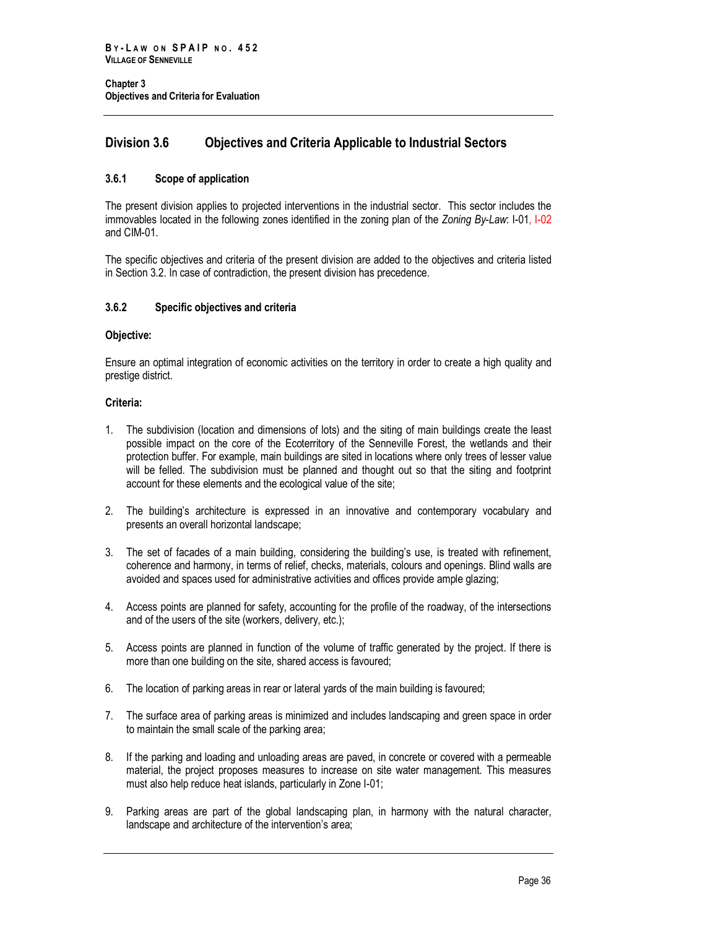## <span id="page-43-0"></span>**Division 3.6 Objectives and Criteria Applicable to Industrial Sectors**

## <span id="page-43-1"></span>**3.6.1 Scope of application**

The present division applies to projected interventions in the industrial sector. This sector includes the immovables located in the following zones identified in the zoning plan of the *Zoning By-Law*: I-01, I-02 and CIM-01.

The specific objectives and criteria of the present division are added to the objectives and criteria listed in Section 3.2. In case of contradiction, the present division has precedence.

## <span id="page-43-2"></span>**3.6.2 Specific objectives and criteria**

## **Objective:**

Ensure an optimal integration of economic activities on the territory in order to create a high quality and prestige district.

## **Criteria:**

- 1. The subdivision (location and dimensions of lots) and the siting of main buildings create the least possible impact on the core of the Ecoterritory of the Senneville Forest, the wetlands and their protection buffer. For example, main buildings are sited in locations where only trees of lesser value will be felled. The subdivision must be planned and thought out so that the siting and footprint account for these elements and the ecological value of the site;
- 2. The building's architecture is expressed in an innovative and contemporary vocabulary and presents an overall horizontal landscape;
- 3. The set of facades of a main building, considering the building's use, is treated with refinement, coherence and harmony, in terms of relief, checks, materials, colours and openings. Blind walls are avoided and spaces used for administrative activities and offices provide ample glazing;
- 4. Access points are planned for safety, accounting for the profile of the roadway, of the intersections and of the users of the site (workers, delivery, etc.);
- 5. Access points are planned in function of the volume of traffic generated by the project. If there is more than one building on the site, shared access is favoured;
- 6. The location of parking areas in rear or lateral yards of the main building is favoured;
- 7. The surface area of parking areas is minimized and includes landscaping and green space in order to maintain the small scale of the parking area;
- 8. If the parking and loading and unloading areas are paved, in concrete or covered with a permeable material, the project proposes measures to increase on site water management. This measures must also help reduce heat islands, particularly in Zone I-01;
- 9. Parking areas are part of the global landscaping plan, in harmony with the natural character, landscape and architecture of the intervention's area;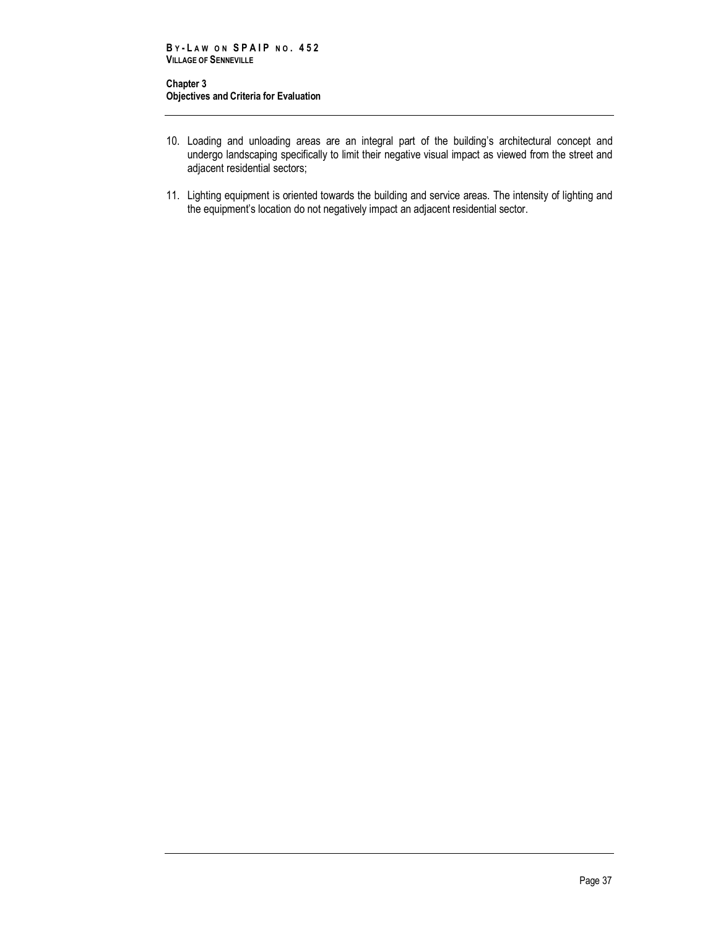- 10. Loading and unloading areas are an integral part of the building's architectural concept and undergo landscaping specifically to limit their negative visual impact as viewed from the street and adjacent residential sectors;
- 11. Lighting equipment is oriented towards the building and service areas. The intensity of lighting and the equipment's location do not negatively impact an adjacent residential sector.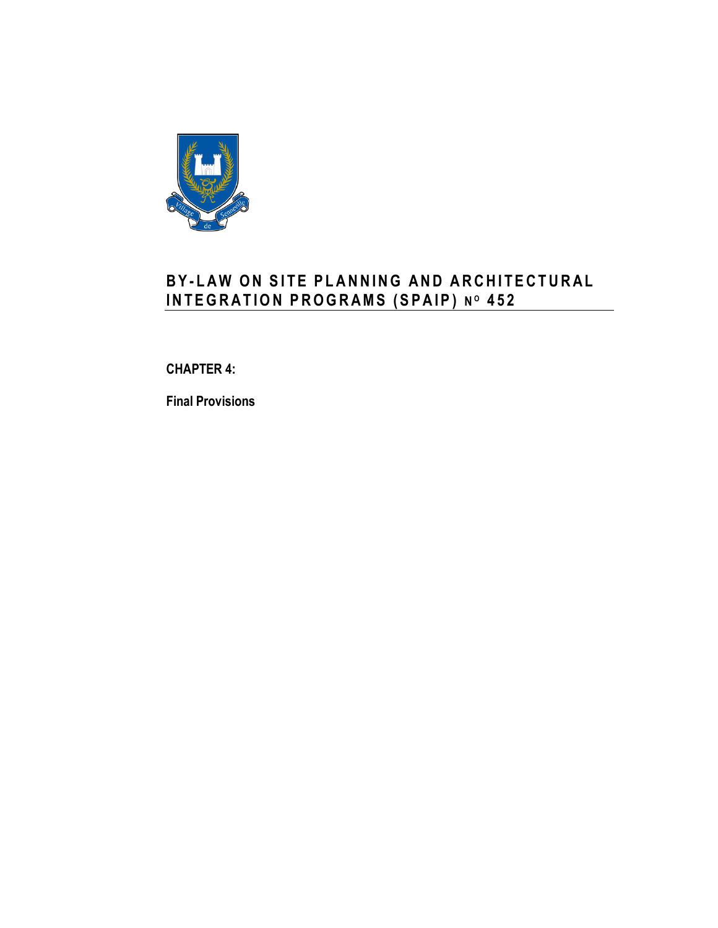

# **B Y - L A W O N S I T E P L A N N I N G A N D ARCH I T E C T U R A L I N T E G R A T I O N P R O G R A M S ( S P A I P ) N <sup>O</sup> 4 5 2**

<span id="page-46-0"></span>**CHAPTER 4:**

**Final Provisions**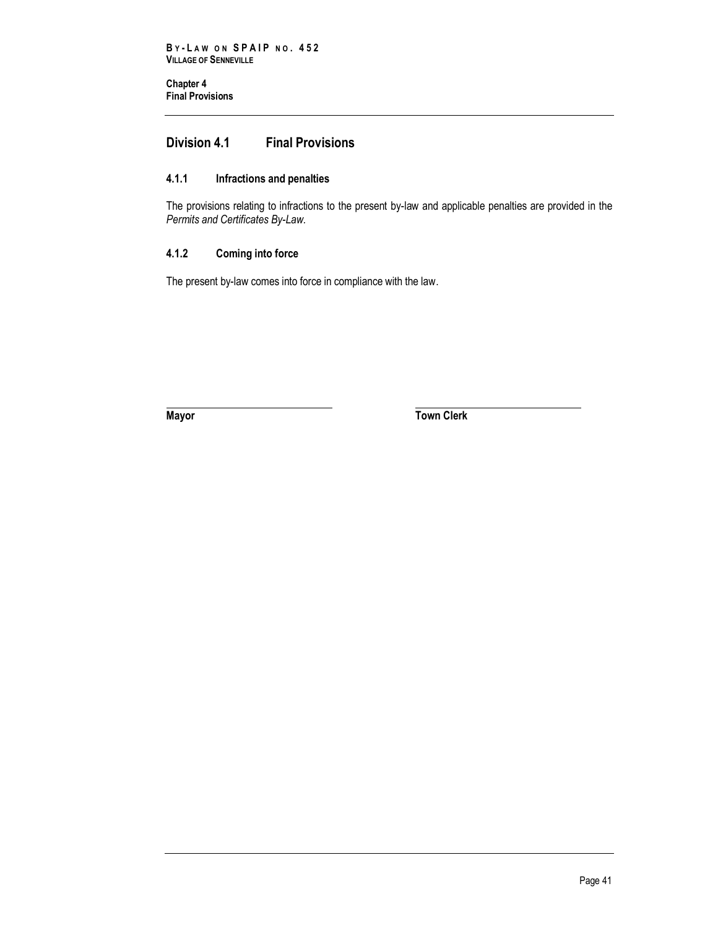**Chapter 4 Final Provisions** 

## <span id="page-48-0"></span>**Division 4.1 Final Provisions**

## <span id="page-48-1"></span>**4.1.1 Infractions and penalties**

The provisions relating to infractions to the present by-law and applicable penalties are provided in the *Permits and Certificates By-Law.*

## <span id="page-48-2"></span>**4.1.2 Coming into force**

The present by-law comes into force in compliance with the law.

**Mayor Town Clerk**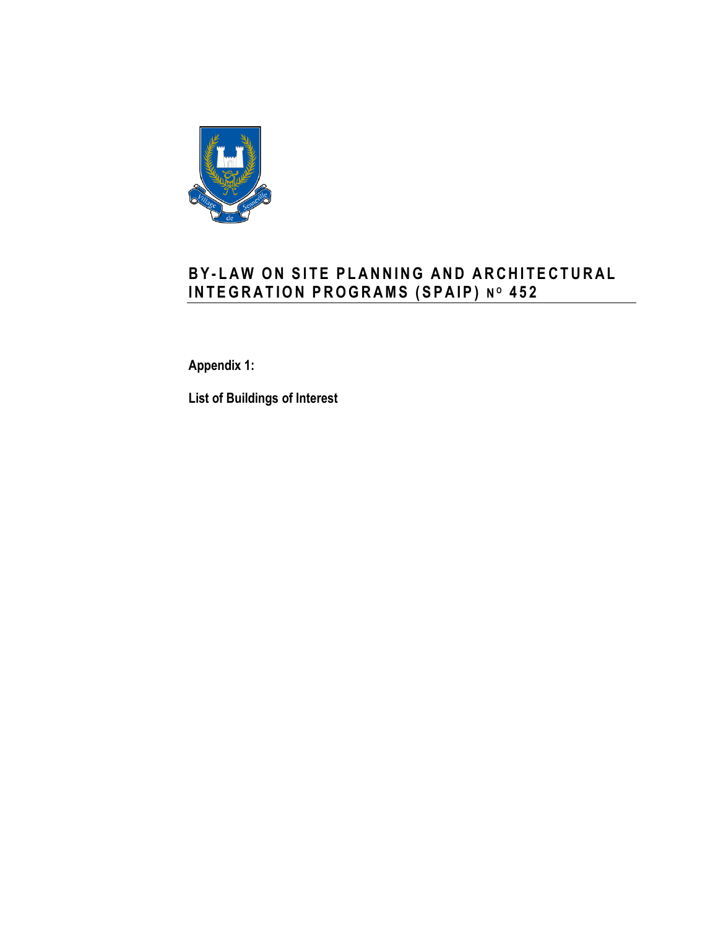

# **B Y - L A W O N S I T E P L A N N I N G A N D A R C H I T E C T U R A L I N T E G R A T I O N P R O G R A M S ( S P A I P ) N <sup>O</sup> 4 5 2**

**Appendix 1:**

**List of Buildings of Interest**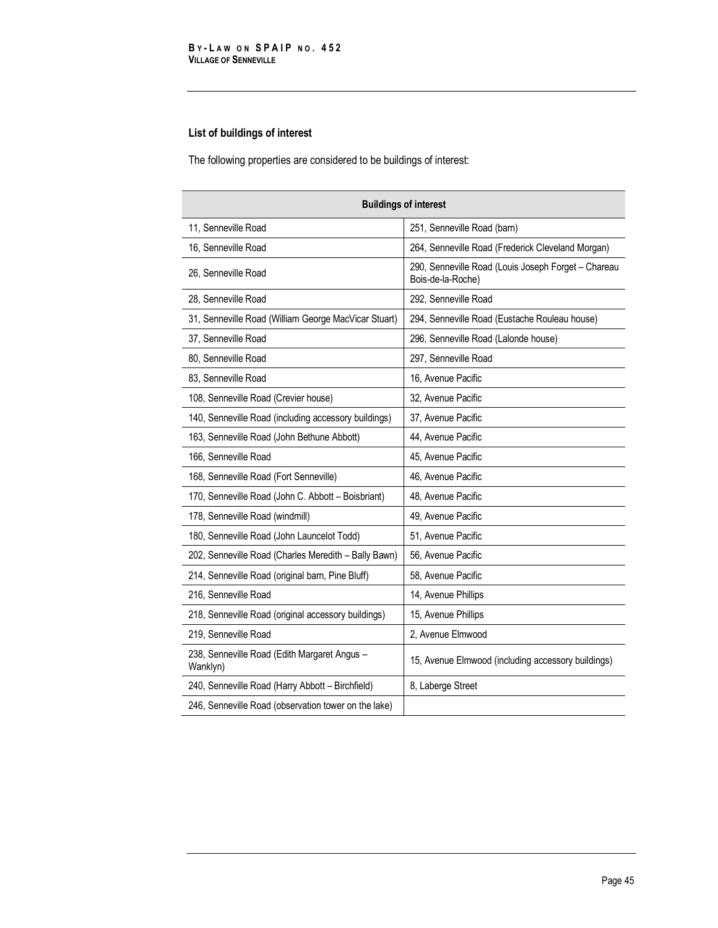## **List of buildings of interest**

The following properties are considered to be buildings of interest:

| <b>Buildings of interest</b>                             |                                                                          |  |
|----------------------------------------------------------|--------------------------------------------------------------------------|--|
| 11, Senneville Road                                      | 251, Senneville Road (barn)                                              |  |
| 16, Senneville Road                                      | 264, Senneville Road (Frederick Cleveland Morgan)                        |  |
| 26, Senneville Road                                      | 290, Senneville Road (Louis Joseph Forget - Chareau<br>Bois-de-la-Roche) |  |
| 28, Senneville Road                                      | 292, Senneville Road                                                     |  |
| 31, Senneville Road (William George MacVicar Stuart)     | 294, Senneville Road (Eustache Rouleau house)                            |  |
| 37, Senneville Road                                      | 296, Senneville Road (Lalonde house)                                     |  |
| 80, Senneville Road                                      | 297, Senneville Road                                                     |  |
| 83, Senneville Road                                      | 16, Avenue Pacific                                                       |  |
| 108, Senneville Road (Crevier house)                     | 32, Avenue Pacific                                                       |  |
| 140, Senneville Road (including accessory buildings)     | 37. Avenue Pacific                                                       |  |
| 163, Senneville Road (John Bethune Abbott)               | 44, Avenue Pacific                                                       |  |
| 166, Senneville Road                                     | 45, Avenue Pacific                                                       |  |
| 168, Senneville Road (Fort Senneville)                   | 46, Avenue Pacific                                                       |  |
| 170, Senneville Road (John C. Abbott - Boisbriant)       | 48, Avenue Pacific                                                       |  |
| 178, Senneville Road (windmill)                          | 49. Avenue Pacific                                                       |  |
| 180, Senneville Road (John Launcelot Todd)               | 51, Avenue Pacific                                                       |  |
| 202, Senneville Road (Charles Meredith - Bally Bawn)     | 56, Avenue Pacific                                                       |  |
| 214, Senneville Road (original barn, Pine Bluff)         | 58, Avenue Pacific                                                       |  |
| 216, Senneville Road                                     | 14, Avenue Phillips                                                      |  |
| 218, Senneville Road (original accessory buildings)      | 15, Avenue Phillips                                                      |  |
| 219, Senneville Road                                     | 2, Avenue Elmwood                                                        |  |
| 238, Senneville Road (Edith Margaret Angus -<br>Wanklyn) | 15, Avenue Elmwood (including accessory buildings)                       |  |
| 240, Senneville Road (Harry Abbott - Birchfield)         | 8, Laberge Street                                                        |  |
| 246, Senneville Road (observation tower on the lake)     |                                                                          |  |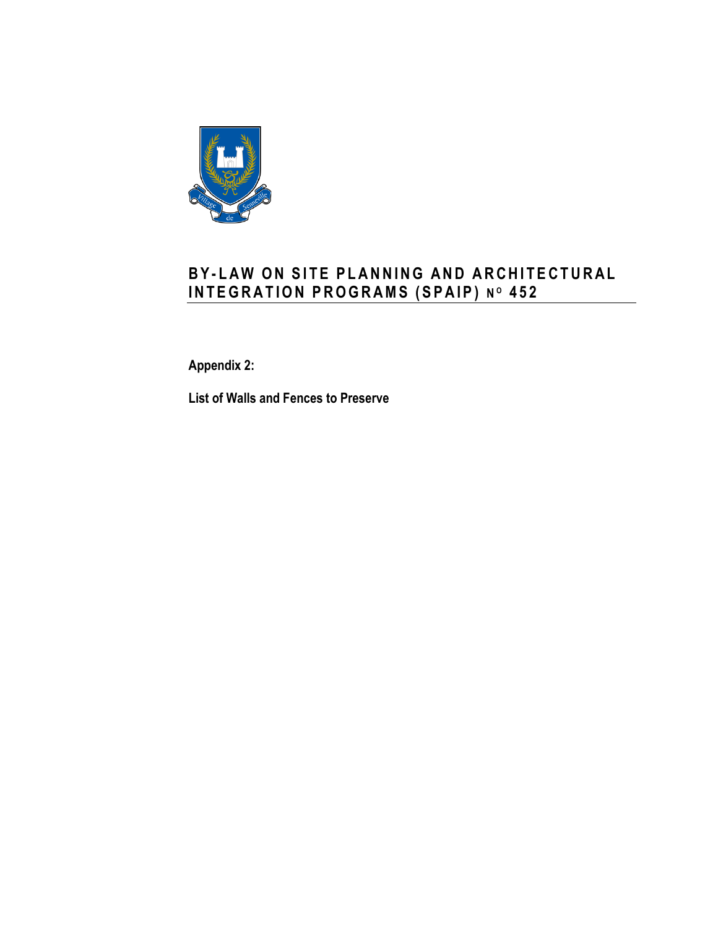

# **B Y - L A W O N S I T E P L A N N I N G A N D A R C H I T E C T U R A L I N T E G R A T I O N P R O G R A MS ( S P A I P ) N <sup>O</sup> 4 5 2**

**Appendix 2:**

**List of Walls and Fences to Preserve**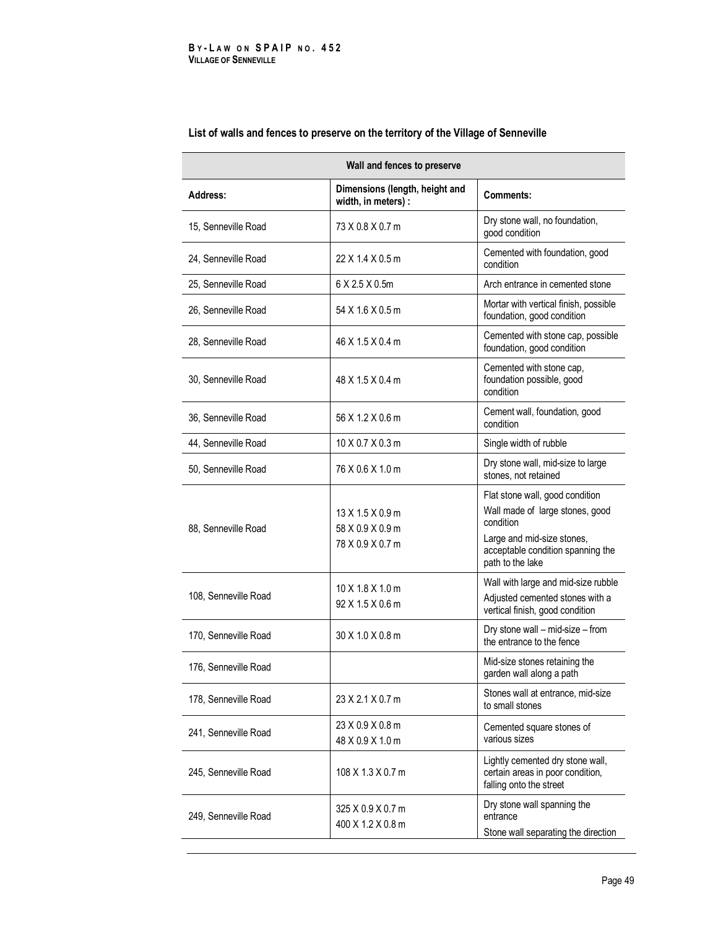| Wall and fences to preserve |                                                            |                                                                                                                                                                        |
|-----------------------------|------------------------------------------------------------|------------------------------------------------------------------------------------------------------------------------------------------------------------------------|
| <b>Address:</b>             | Dimensions (length, height and<br>width, in meters) :      | <b>Comments:</b>                                                                                                                                                       |
| 15, Senneville Road         | 73 X 0.8 X 0.7 m                                           | Dry stone wall, no foundation,<br>good condition                                                                                                                       |
| 24, Senneville Road         | 22 X 1.4 X 0.5 m                                           | Cemented with foundation, good<br>condition                                                                                                                            |
| 25, Senneville Road         | 6 X 2.5 X 0.5m                                             | Arch entrance in cemented stone                                                                                                                                        |
| 26, Senneville Road         | 54 X 1.6 X 0.5 m                                           | Mortar with vertical finish, possible<br>foundation, good condition                                                                                                    |
| 28, Senneville Road         | 46 X 1.5 X 0.4 m                                           | Cemented with stone cap, possible<br>foundation, good condition                                                                                                        |
| 30, Senneville Road         | 48 X 1.5 X 0.4 m                                           | Cemented with stone cap,<br>foundation possible, good<br>condition                                                                                                     |
| 36, Senneville Road         | 56 X 1.2 X 0.6 m                                           | Cement wall, foundation, good<br>condition                                                                                                                             |
| 44, Senneville Road         | 10 X 0.7 X 0.3 m                                           | Single width of rubble                                                                                                                                                 |
| 50, Senneville Road         | 76 X 0.6 X 1.0 m                                           | Dry stone wall, mid-size to large<br>stones, not retained                                                                                                              |
| 88, Senneville Road         | $13$ X 1.5 X 0.9 m<br>58 X 0.9 X 0.9 m<br>78 X 0.9 X 0.7 m | Flat stone wall, good condition<br>Wall made of large stones, good<br>condition<br>Large and mid-size stones,<br>acceptable condition spanning the<br>path to the lake |
| 108, Senneville Road        | 10 X 1.8 X 1.0 m<br>92 X 1.5 X 0.6 m                       | Wall with large and mid-size rubble<br>Adjusted cemented stones with a<br>vertical finish, good condition                                                              |
| 170, Senneville Road        | 30 X 1.0 X 0.8 m                                           | Dry stone wall – mid-size – from<br>the entrance to the fence                                                                                                          |
| 176, Senneville Road        |                                                            | Mid-size stones retaining the<br>garden wall along a path                                                                                                              |
| 178, Senneville Road        | 23 X 2.1 X 0.7 m                                           | Stones wall at entrance, mid-size<br>to small stones                                                                                                                   |
| 241, Senneville Road        | 23 X 0.9 X 0.8 m<br>48 X 0.9 X 1.0 m                       | Cemented square stones of<br>various sizes                                                                                                                             |
| 245, Senneville Road        | 108 X 1.3 X 0.7 m                                          | Lightly cemented dry stone wall,<br>certain areas in poor condition,<br>falling onto the street                                                                        |
| 249, Senneville Road        | 325 X 0.9 X 0.7 m<br>400 X 1.2 X 0.8 m                     | Dry stone wall spanning the<br>entrance<br>Stone wall separating the direction                                                                                         |

## **List of walls and fences to preserve on the territory of the Village of Senneville**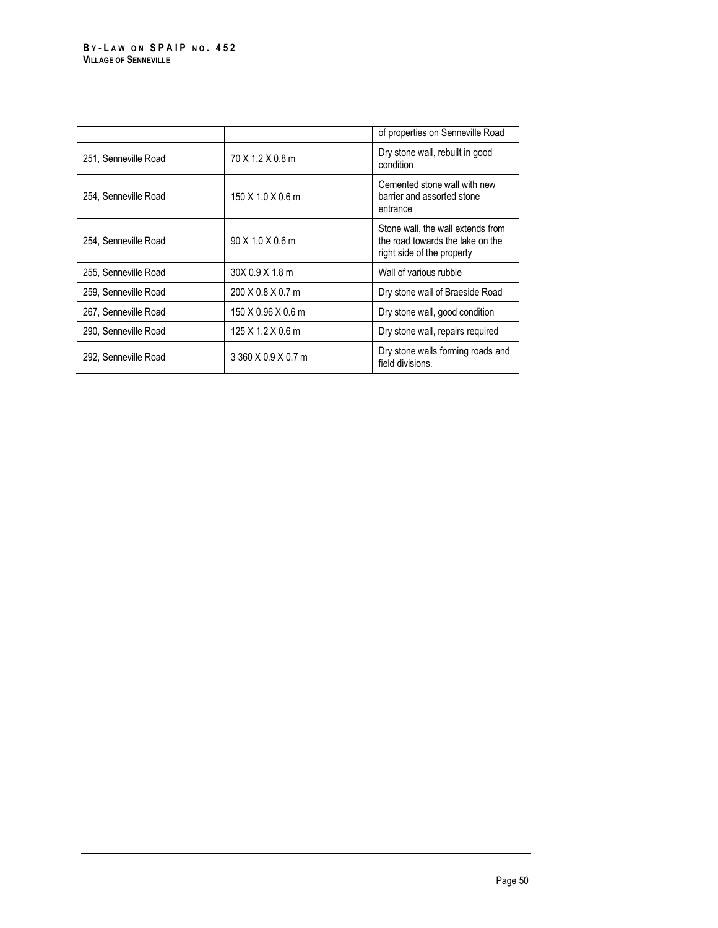|                      |                               | of properties on Senneville Road                                                                    |
|----------------------|-------------------------------|-----------------------------------------------------------------------------------------------------|
| 251, Senneville Road | 70 X 1.2 X 0.8 m              | Dry stone wall, rebuilt in good<br>condition                                                        |
| 254, Senneville Road | $150 \times 1.0 \times 0.6$ m | Cemented stone wall with new<br>barrier and assorted stone<br>entrance                              |
| 254, Senneville Road | 90 X 1.0 X 0.6 m              | Stone wall, the wall extends from<br>the road towards the lake on the<br>right side of the property |
| 255. Senneville Road | 30X 0.9 X 1.8 m               | Wall of various rubble                                                                              |
| 259, Senneville Road | 200 X 0.8 X 0.7 m             | Dry stone wall of Braeside Road                                                                     |
| 267, Senneville Road | 150 X 0.96 X 0.6 m            | Dry stone wall, good condition                                                                      |
| 290, Senneville Road | $125$ X 1.2 X 0.6 m           | Dry stone wall, repairs required                                                                    |
| 292, Senneville Road | 3 360 X 0.9 X 0.7 m           | Dry stone walls forming roads and<br>field divisions.                                               |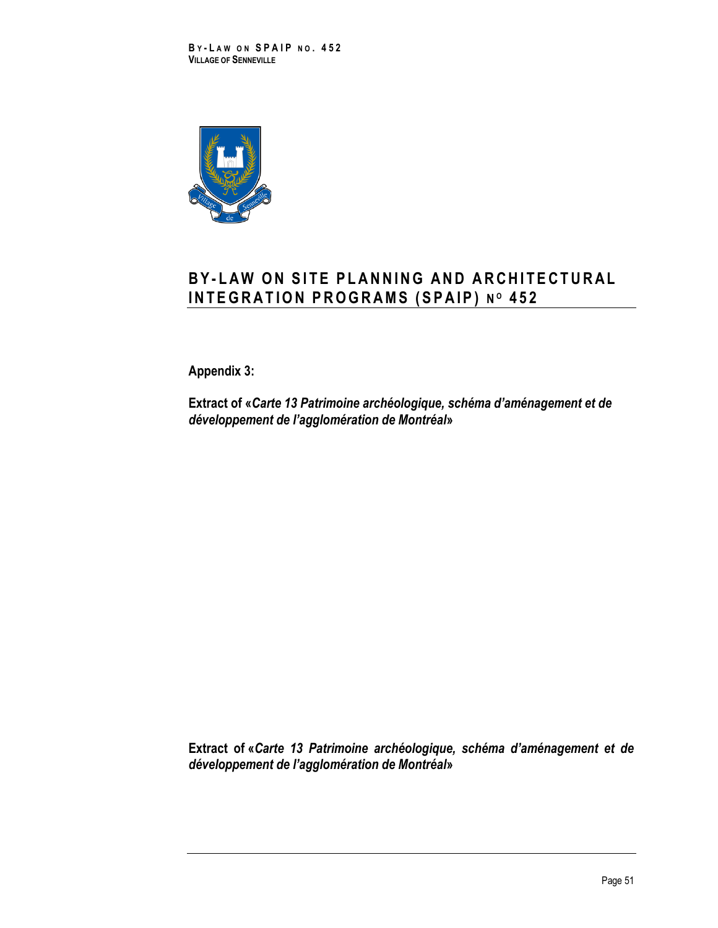

# **B Y - L A W O N S I T E P L A N N I N G A N D A R C H I T E C T U R A L I N T E G R A T I O N P R O G R A M S ( S P A I P ) N <sup>O</sup> 452**

**Appendix 3:**

**Extract of «***Carte 13 Patrimoine archéologique, schéma d'aménagement et de développement de l'agglomération de Montréal***»**

**Extract of «***Carte 13 Patrimoine archéologique, schéma d'aménagement et de développement de l'agglomération de Montréal***»**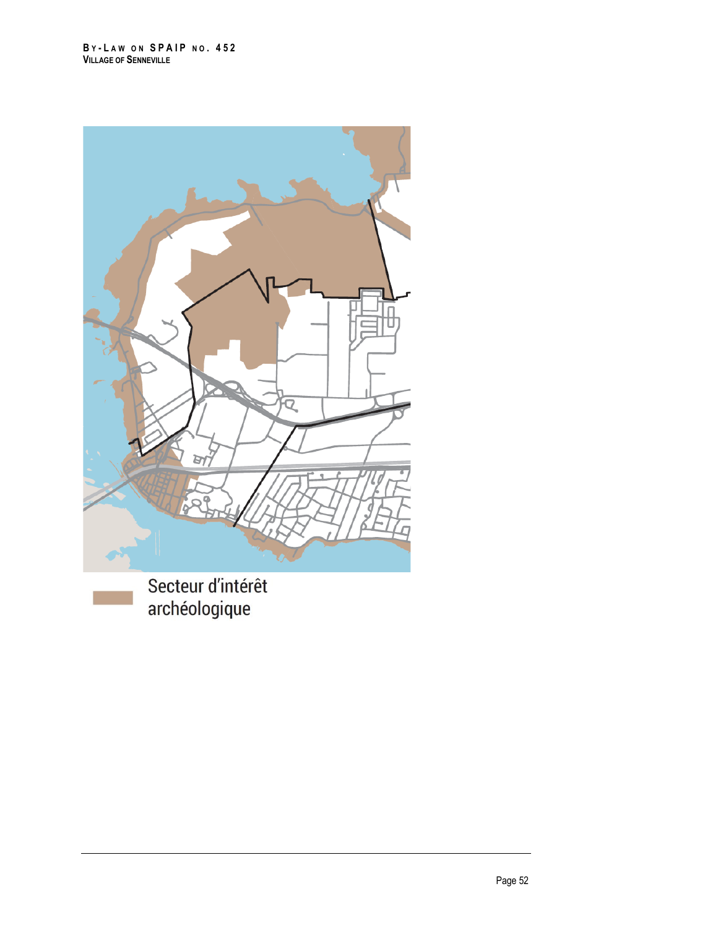

Secteur d'intérêt archéologique